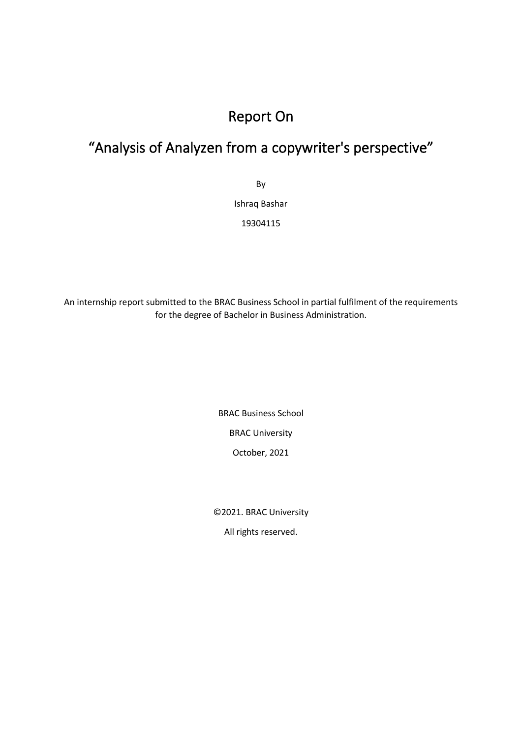# Report On

# "Analysis of Analyzen from a copywriter's perspective"

By

Ishraq Bashar

19304115

An internship report submitted to the BRAC Business School in partial fulfilment of the requirements for the degree of Bachelor in Business Administration.

> BRAC Business School BRAC University October, 2021

©️2021. BRAC University

All rights reserved.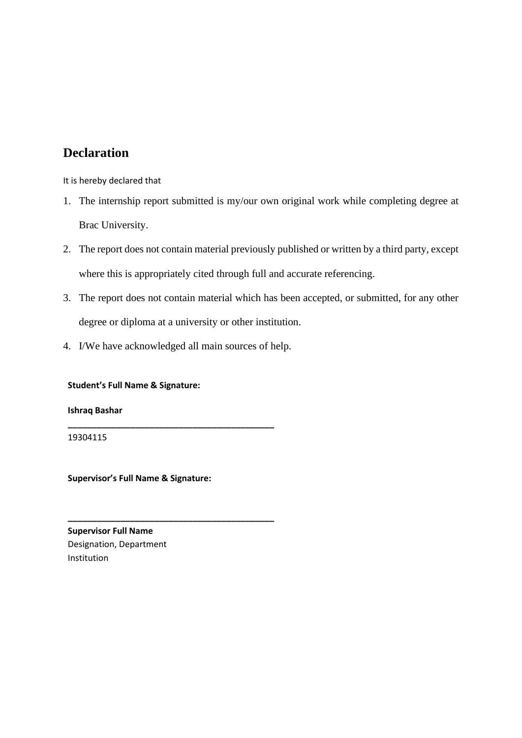# **Declaration**

It is hereby declared that

- 1. The internship report submitted is my/our own original work while completing degree at Brac University.
- 2. The report does not contain material previously published or written by a third party, except where this is appropriately cited through full and accurate referencing.
- 3. The report does not contain material which has been accepted, or submitted, for any other degree or diploma at a university or other institution.
- 4. I/We have acknowledged all main sources of help.

**\_\_\_\_\_\_\_\_\_\_\_\_\_\_\_\_\_\_\_\_\_\_\_\_\_\_\_\_\_\_\_\_\_\_\_\_\_\_\_\_\_\_\_**

**\_\_\_\_\_\_\_\_\_\_\_\_\_\_\_\_\_\_\_\_\_\_\_\_\_\_\_\_\_\_\_\_\_\_\_\_\_\_\_\_\_\_\_**

**Student's Full Name & Signature:**

**Ishraq Bashar**

19304115

**Supervisor's Full Name & Signature:**

**Supervisor Full Name** Designation, Department Institution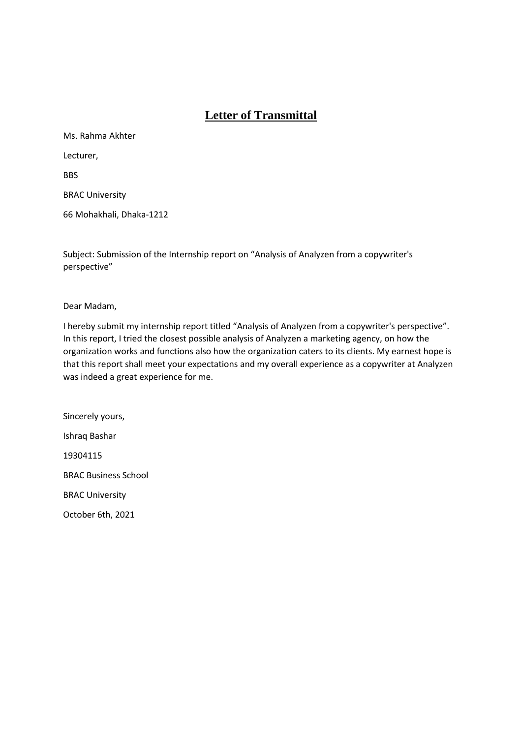# **Letter of Transmittal**

Ms. Rahma Akhter Lecturer, **BBS** BRAC University

66 Mohakhali, Dhaka-1212

Subject: Submission of the Internship report on "Analysis of Analyzen from a copywriter's perspective"

Dear Madam,

I hereby submit my internship report titled "Analysis of Analyzen from a copywriter's perspective". In this report, I tried the closest possible analysis of Analyzen a marketing agency, on how the organization works and functions also how the organization caters to its clients. My earnest hope is that this report shall meet your expectations and my overall experience as a copywriter at Analyzen was indeed a great experience for me.

Sincerely yours, Ishraq Bashar 19304115 BRAC Business School BRAC University October 6th, 2021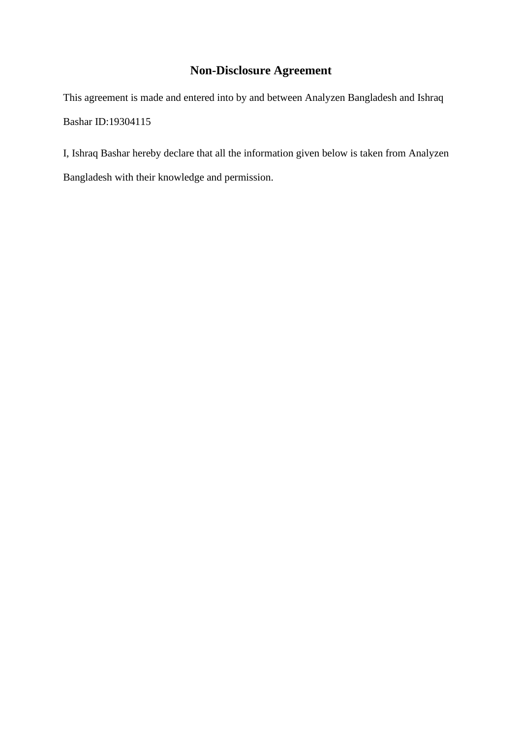# **Non-Disclosure Agreement**

This agreement is made and entered into by and between Analyzen Bangladesh and Ishraq Bashar ID:19304115

I, Ishraq Bashar hereby declare that all the information given below is taken from Analyzen Bangladesh with their knowledge and permission.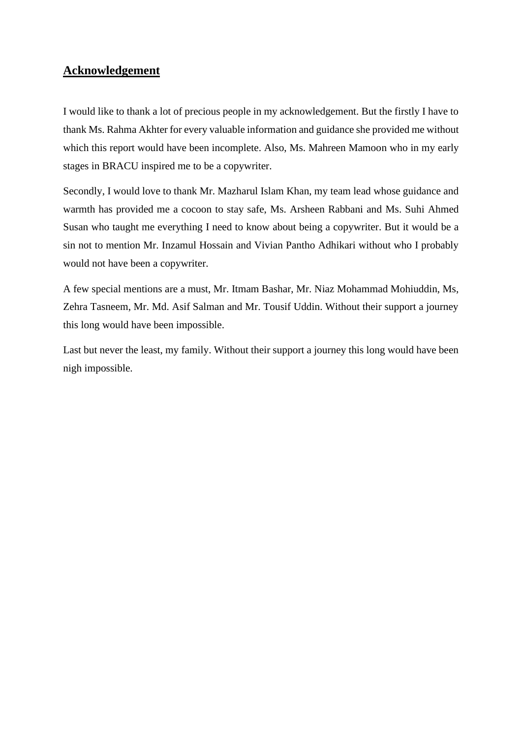# **Acknowledgement**

I would like to thank a lot of precious people in my acknowledgement. But the firstly I have to thank Ms. Rahma Akhter for every valuable information and guidance she provided me without which this report would have been incomplete. Also, Ms. Mahreen Mamoon who in my early stages in BRACU inspired me to be a copywriter.

Secondly, I would love to thank Mr. Mazharul Islam Khan, my team lead whose guidance and warmth has provided me a cocoon to stay safe, Ms. Arsheen Rabbani and Ms. Suhi Ahmed Susan who taught me everything I need to know about being a copywriter. But it would be a sin not to mention Mr. Inzamul Hossain and Vivian Pantho Adhikari without who I probably would not have been a copywriter.

A few special mentions are a must, Mr. Itmam Bashar, Mr. Niaz Mohammad Mohiuddin, Ms, Zehra Tasneem, Mr. Md. Asif Salman and Mr. Tousif Uddin. Without their support a journey this long would have been impossible.

Last but never the least, my family. Without their support a journey this long would have been nigh impossible.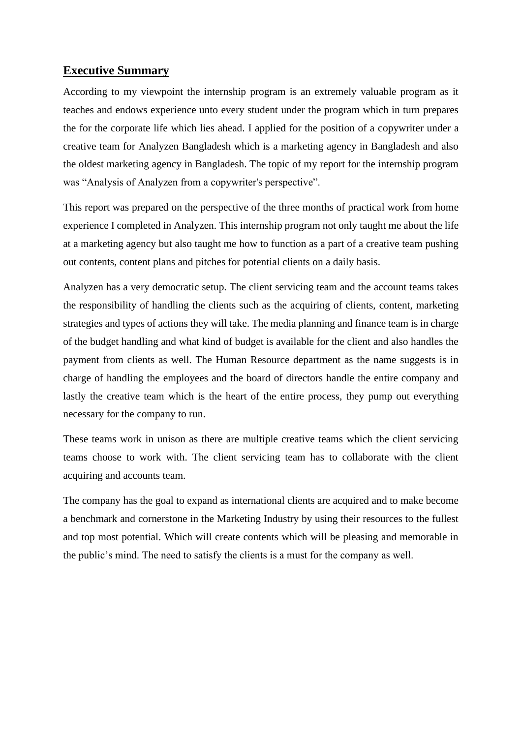# **Executive Summary**

According to my viewpoint the internship program is an extremely valuable program as it teaches and endows experience unto every student under the program which in turn prepares the for the corporate life which lies ahead. I applied for the position of a copywriter under a creative team for Analyzen Bangladesh which is a marketing agency in Bangladesh and also the oldest marketing agency in Bangladesh. The topic of my report for the internship program was "Analysis of Analyzen from a copywriter's perspective".

This report was prepared on the perspective of the three months of practical work from home experience I completed in Analyzen. This internship program not only taught me about the life at a marketing agency but also taught me how to function as a part of a creative team pushing out contents, content plans and pitches for potential clients on a daily basis.

Analyzen has a very democratic setup. The client servicing team and the account teams takes the responsibility of handling the clients such as the acquiring of clients, content, marketing strategies and types of actions they will take. The media planning and finance team is in charge of the budget handling and what kind of budget is available for the client and also handles the payment from clients as well. The Human Resource department as the name suggests is in charge of handling the employees and the board of directors handle the entire company and lastly the creative team which is the heart of the entire process, they pump out everything necessary for the company to run.

These teams work in unison as there are multiple creative teams which the client servicing teams choose to work with. The client servicing team has to collaborate with the client acquiring and accounts team.

The company has the goal to expand as international clients are acquired and to make become a benchmark and cornerstone in the Marketing Industry by using their resources to the fullest and top most potential. Which will create contents which will be pleasing and memorable in the public's mind. The need to satisfy the clients is a must for the company as well.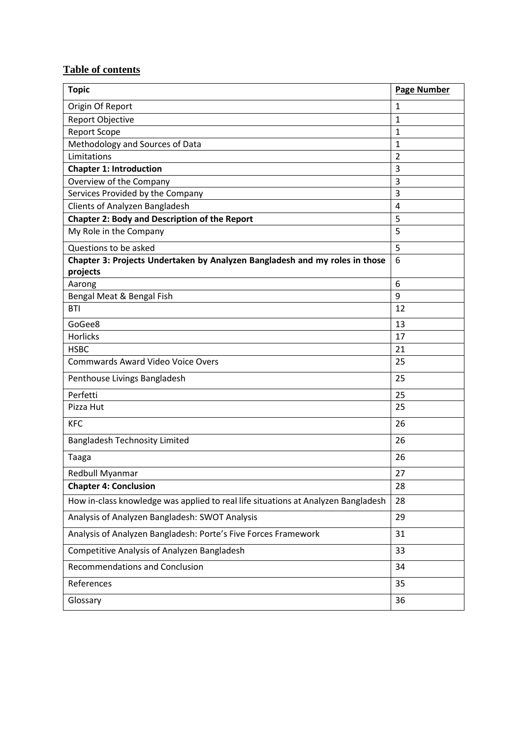# **Table of contents**

| <b>Topic</b>                                                                            | <b>Page Number</b> |
|-----------------------------------------------------------------------------------------|--------------------|
| Origin Of Report                                                                        | $\mathbf{1}$       |
| <b>Report Objective</b>                                                                 | 1                  |
| <b>Report Scope</b>                                                                     | 1                  |
| Methodology and Sources of Data                                                         | 1                  |
| Limitations                                                                             | $\overline{2}$     |
| <b>Chapter 1: Introduction</b>                                                          | 3                  |
| Overview of the Company                                                                 | 3                  |
| Services Provided by the Company                                                        | 3                  |
| Clients of Analyzen Bangladesh                                                          | $\overline{4}$     |
| <b>Chapter 2: Body and Description of the Report</b>                                    | 5                  |
| My Role in the Company                                                                  | 5                  |
| Questions to be asked                                                                   | 5                  |
| Chapter 3: Projects Undertaken by Analyzen Bangladesh and my roles in those<br>projects | 6                  |
| Aarong                                                                                  | 6                  |
| Bengal Meat & Bengal Fish                                                               | 9                  |
| <b>BTI</b>                                                                              | 12                 |
| GoGee8                                                                                  | 13                 |
| <b>Horlicks</b>                                                                         | 17                 |
| <b>HSBC</b>                                                                             | 21                 |
| <b>Commwards Award Video Voice Overs</b>                                                | 25                 |
| Penthouse Livings Bangladesh                                                            | 25                 |
| Perfetti                                                                                | 25                 |
| Pizza Hut                                                                               | 25                 |
| <b>KFC</b>                                                                              | 26                 |
| <b>Bangladesh Technosity Limited</b>                                                    | 26                 |
| Taaga                                                                                   | 26                 |
| Redbull Myanmar                                                                         | 27                 |
| <b>Chapter 4: Conclusion</b>                                                            | 28                 |
| How in-class knowledge was applied to real life situations at Analyzen Bangladesh       | 28                 |
| Analysis of Analyzen Bangladesh: SWOT Analysis                                          | 29                 |
| Analysis of Analyzen Bangladesh: Porte's Five Forces Framework                          | 31                 |
| Competitive Analysis of Analyzen Bangladesh                                             | 33                 |
| <b>Recommendations and Conclusion</b>                                                   | 34                 |
| References                                                                              | 35                 |
| Glossary                                                                                | 36                 |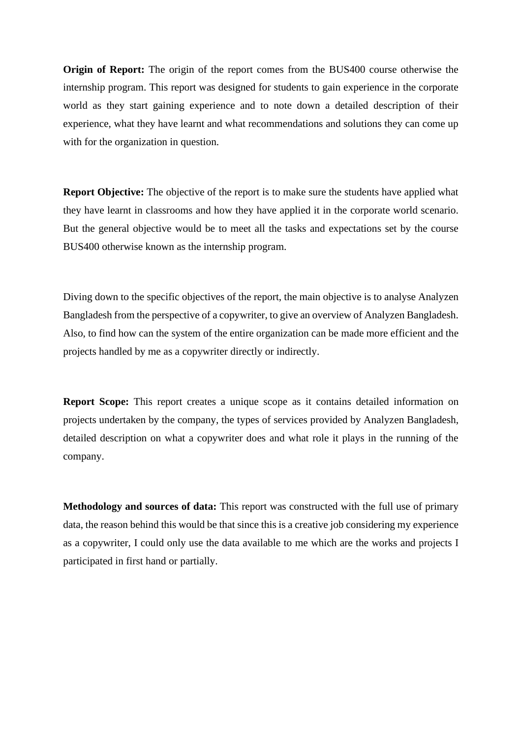**Origin of Report:** The origin of the report comes from the BUS400 course otherwise the internship program. This report was designed for students to gain experience in the corporate world as they start gaining experience and to note down a detailed description of their experience, what they have learnt and what recommendations and solutions they can come up with for the organization in question.

**Report Objective:** The objective of the report is to make sure the students have applied what they have learnt in classrooms and how they have applied it in the corporate world scenario. But the general objective would be to meet all the tasks and expectations set by the course BUS400 otherwise known as the internship program.

Diving down to the specific objectives of the report, the main objective is to analyse Analyzen Bangladesh from the perspective of a copywriter, to give an overview of Analyzen Bangladesh. Also, to find how can the system of the entire organization can be made more efficient and the projects handled by me as a copywriter directly or indirectly.

**Report Scope:** This report creates a unique scope as it contains detailed information on projects undertaken by the company, the types of services provided by Analyzen Bangladesh, detailed description on what a copywriter does and what role it plays in the running of the company.

**Methodology and sources of data:** This report was constructed with the full use of primary data, the reason behind this would be that since this is a creative job considering my experience as a copywriter, I could only use the data available to me which are the works and projects I participated in first hand or partially.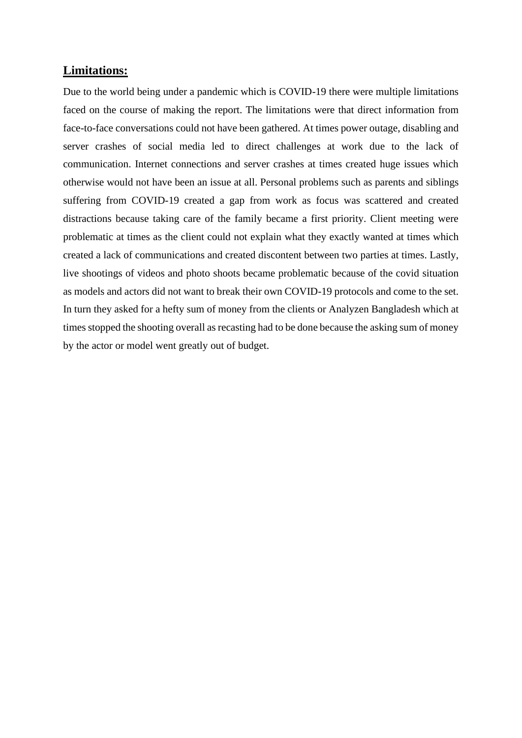### **Limitations:**

Due to the world being under a pandemic which is COVID-19 there were multiple limitations faced on the course of making the report. The limitations were that direct information from face-to-face conversations could not have been gathered. At times power outage, disabling and server crashes of social media led to direct challenges at work due to the lack of communication. Internet connections and server crashes at times created huge issues which otherwise would not have been an issue at all. Personal problems such as parents and siblings suffering from COVID-19 created a gap from work as focus was scattered and created distractions because taking care of the family became a first priority. Client meeting were problematic at times as the client could not explain what they exactly wanted at times which created a lack of communications and created discontent between two parties at times. Lastly, live shootings of videos and photo shoots became problematic because of the covid situation as models and actors did not want to break their own COVID-19 protocols and come to the set. In turn they asked for a hefty sum of money from the clients or Analyzen Bangladesh which at times stopped the shooting overall as recasting had to be done because the asking sum of money by the actor or model went greatly out of budget.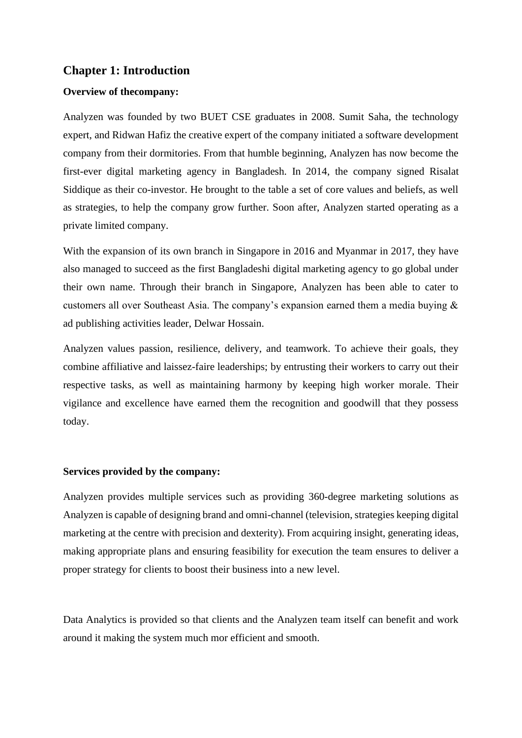# **Chapter 1: Introduction**

### **Overview of thecompany:**

Analyzen was founded by two BUET CSE graduates in 2008. Sumit Saha, the technology expert, and Ridwan Hafiz the creative expert of the company initiated a software development company from their dormitories. From that humble beginning, Analyzen has now become the first-ever digital marketing agency in Bangladesh. In 2014, the company signed Risalat Siddique as their co-investor. He brought to the table a set of core values and beliefs, as well as strategies, to help the company grow further. Soon after, Analyzen started operating as a private limited company.

With the expansion of its own branch in Singapore in 2016 and Myanmar in 2017, they have also managed to succeed as the first Bangladeshi digital marketing agency to go global under their own name. Through their branch in Singapore, Analyzen has been able to cater to customers all over Southeast Asia. The company's expansion earned them a media buying & ad publishing activities leader, Delwar Hossain.

Analyzen values passion, resilience, delivery, and teamwork. To achieve their goals, they combine affiliative and laissez-faire leaderships; by entrusting their workers to carry out their respective tasks, as well as maintaining harmony by keeping high worker morale. Their vigilance and excellence have earned them the recognition and goodwill that they possess today.

#### **Services provided by the company:**

Analyzen provides multiple services such as providing 360-degree marketing solutions as Analyzen is capable of designing brand and omni-channel (television, strategies keeping digital marketing at the centre with precision and dexterity). From acquiring insight, generating ideas, making appropriate plans and ensuring feasibility for execution the team ensures to deliver a proper strategy for clients to boost their business into a new level.

Data Analytics is provided so that clients and the Analyzen team itself can benefit and work around it making the system much mor efficient and smooth.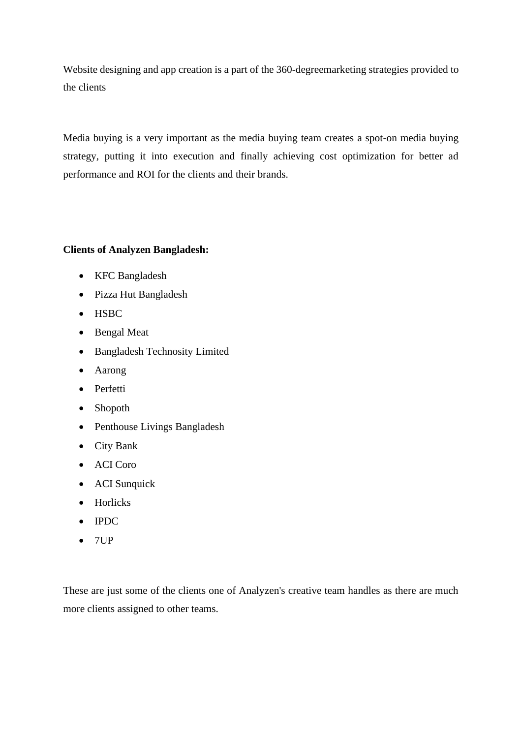Website designing and app creation is a part of the 360-degreemarketing strategies provided to the clients

Media buying is a very important as the media buying team creates a spot-on media buying strategy, putting it into execution and finally achieving cost optimization for better ad performance and ROI for the clients and their brands.

# **Clients of Analyzen Bangladesh:**

- KFC Bangladesh
- Pizza Hut Bangladesh
- HSBC
- Bengal Meat
- Bangladesh Technosity Limited
- Aarong
- Perfetti
- Shopoth
- Penthouse Livings Bangladesh
- City Bank
- ACI Coro
- ACI Sunquick
- Horlicks
- IPDC
- $\bullet$  7UP

These are just some of the clients one of Analyzen's creative team handles as there are much more clients assigned to other teams.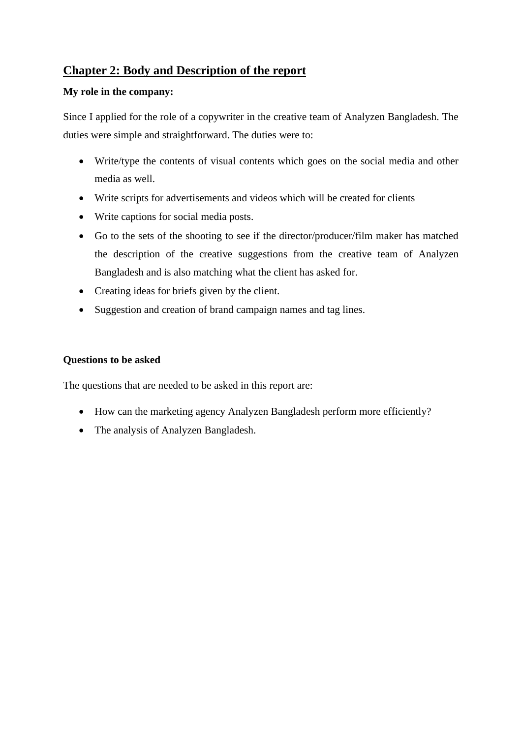# **Chapter 2: Body and Description of the report**

### **My role in the company:**

Since I applied for the role of a copywriter in the creative team of Analyzen Bangladesh. The duties were simple and straightforward. The duties were to:

- Write/type the contents of visual contents which goes on the social media and other media as well.
- Write scripts for advertisements and videos which will be created for clients
- Write captions for social media posts.
- Go to the sets of the shooting to see if the director/producer/film maker has matched the description of the creative suggestions from the creative team of Analyzen Bangladesh and is also matching what the client has asked for.
- Creating ideas for briefs given by the client.
- Suggestion and creation of brand campaign names and tag lines.

### **Questions to be asked**

The questions that are needed to be asked in this report are:

- How can the marketing agency Analyzen Bangladesh perform more efficiently?
- The analysis of Analyzen Bangladesh.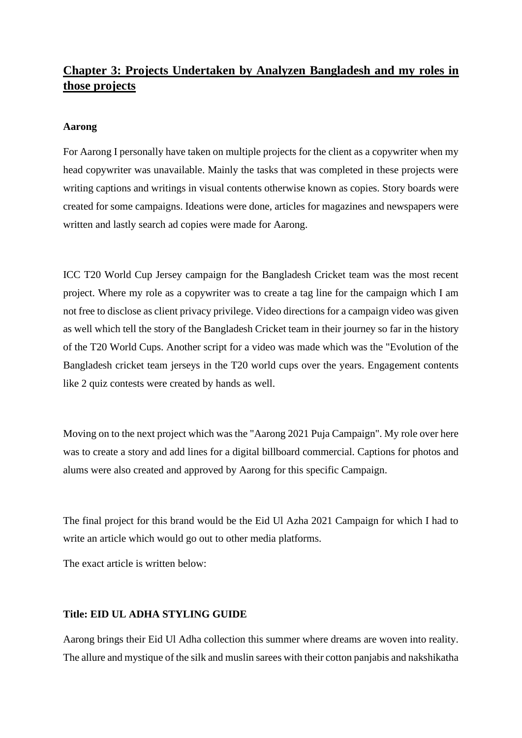# **Chapter 3: Projects Undertaken by Analyzen Bangladesh and my roles in those projects**

### **Aarong**

For Aarong I personally have taken on multiple projects for the client as a copywriter when my head copywriter was unavailable. Mainly the tasks that was completed in these projects were writing captions and writings in visual contents otherwise known as copies. Story boards were created for some campaigns. Ideations were done, articles for magazines and newspapers were written and lastly search ad copies were made for Aarong.

ICC T20 World Cup Jersey campaign for the Bangladesh Cricket team was the most recent project. Where my role as a copywriter was to create a tag line for the campaign which I am not free to disclose as client privacy privilege. Video directions for a campaign video was given as well which tell the story of the Bangladesh Cricket team in their journey so far in the history of the T20 World Cups. Another script for a video was made which was the "Evolution of the Bangladesh cricket team jerseys in the T20 world cups over the years. Engagement contents like 2 quiz contests were created by hands as well.

Moving on to the next project which was the "Aarong 2021 Puja Campaign". My role over here was to create a story and add lines for a digital billboard commercial. Captions for photos and alums were also created and approved by Aarong for this specific Campaign.

The final project for this brand would be the Eid Ul Azha 2021 Campaign for which I had to write an article which would go out to other media platforms.

The exact article is written below:

### **Title: EID UL ADHA STYLING GUIDE**

Aarong brings their Eid Ul Adha collection this summer where dreams are woven into reality. The allure and mystique of the silk and muslin sarees with their cotton panjabis and nakshikatha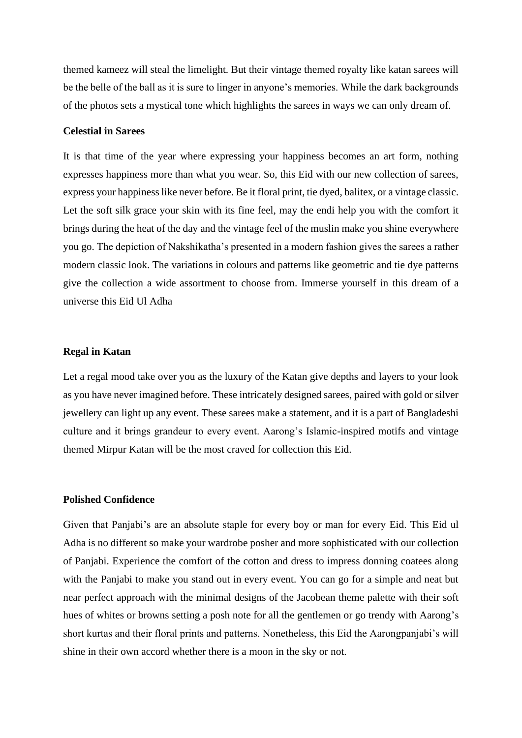themed kameez will steal the limelight. But their vintage themed royalty like katan sarees will be the belle of the ball as it is sure to linger in anyone's memories. While the dark backgrounds of the photos sets a mystical tone which highlights the sarees in ways we can only dream of.

### **Celestial in Sarees**

It is that time of the year where expressing your happiness becomes an art form, nothing expresses happiness more than what you wear. So, this Eid with our new collection of sarees, express your happiness like never before. Be it floral print, tie dyed, balitex, or a vintage classic. Let the soft silk grace your skin with its fine feel, may the endi help you with the comfort it brings during the heat of the day and the vintage feel of the muslin make you shine everywhere you go. The depiction of Nakshikatha's presented in a modern fashion gives the sarees a rather modern classic look. The variations in colours and patterns like geometric and tie dye patterns give the collection a wide assortment to choose from. Immerse yourself in this dream of a universe this Eid Ul Adha

#### **Regal in Katan**

Let a regal mood take over you as the luxury of the Katan give depths and layers to your look as you have never imagined before. These intricately designed sarees, paired with gold or silver jewellery can light up any event. These sarees make a statement, and it is a part of Bangladeshi culture and it brings grandeur to every event. Aarong's Islamic-inspired motifs and vintage themed Mirpur Katan will be the most craved for collection this Eid.

#### **Polished Confidence**

Given that Panjabi's are an absolute staple for every boy or man for every Eid. This Eid ul Adha is no different so make your wardrobe posher and more sophisticated with our collection of Panjabi. Experience the comfort of the cotton and dress to impress donning coatees along with the Panjabi to make you stand out in every event. You can go for a simple and neat but near perfect approach with the minimal designs of the Jacobean theme palette with their soft hues of whites or browns setting a posh note for all the gentlemen or go trendy with Aarong's short kurtas and their floral prints and patterns. Nonetheless, this Eid the Aarongpanjabi's will shine in their own accord whether there is a moon in the sky or not.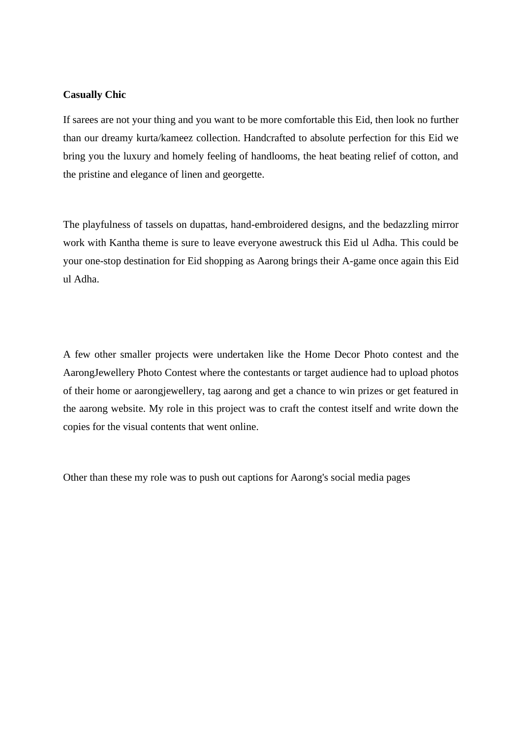### **Casually Chic**

If sarees are not your thing and you want to be more comfortable this Eid, then look no further than our dreamy kurta/kameez collection. Handcrafted to absolute perfection for this Eid we bring you the luxury and homely feeling of handlooms, the heat beating relief of cotton, and the pristine and elegance of linen and georgette.

The playfulness of tassels on dupattas, hand-embroidered designs, and the bedazzling mirror work with Kantha theme is sure to leave everyone awestruck this Eid ul Adha. This could be your one-stop destination for Eid shopping as Aarong brings their A-game once again this Eid ul Adha.

A few other smaller projects were undertaken like the Home Decor Photo contest and the AarongJewellery Photo Contest where the contestants or target audience had to upload photos of their home or aarongjewellery, tag aarong and get a chance to win prizes or get featured in the aarong website. My role in this project was to craft the contest itself and write down the copies for the visual contents that went online.

Other than these my role was to push out captions for Aarong's social media pages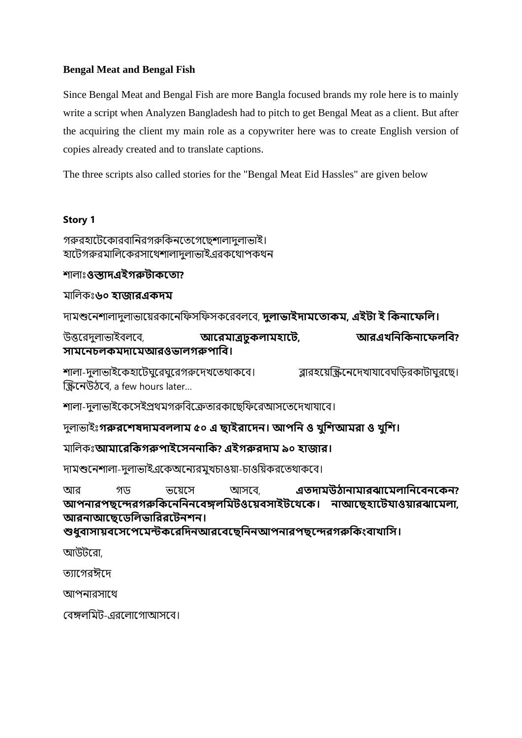### **Bengal Meat and Bengal Fish**

Since Bengal Meat and Bengal Fish are more Bangla focused brands my role here is to mainly write a script when Analyzen Bangladesh had to pitch to get Bengal Meat as a client. But after the acquiring the client my main role as a copywriter here was to create English version of copies already created and to translate captions.

The three scripts also called stories for the "Bengal Meat Eid Hassles" are given below

### **Story 1**

গরুরহাটেকোরবানিরগরুকিনতেগেছেশালাদুলাভাই। হাটেগরুরমালিকেরসাথেশালাদলাভাইএরকথোপকথন

শালাাঃ**ওস্তাদএইগরুটাকত া?**

মানলিাঃ**৬০ হাজারএকদম**

দামশুটিশালাদুলাভাটেরিাটিনিসনিসিটরবলটব, **দলু াভাইদামত াকম, এইটা ই ককনাতেকল।**

উত্তটরদুলাভাইবলটব, **আতরমাত্রঢুকলামহাতট, আরএখকনককনাতেলকি? সামতনচলকমদাতমআরওভালগরুপাকি।**

শালা-দুলাভাইকেহাটেঘুরেঘুরেগরুদেখতেথাকবে। ব্লারহয়েস্ক্রিনেদেখাযাবেঘডিরকাটাঘুরছে। স্ক্রিটিউঠটব, a few hours later…

শালা-দুলাভাইকেসেইপ্রথমগরুবিক্রেতারকাছেফিরেআসতেদেখাযাবে।

দুলাভাইাঃ**গরুরতেষদামিললাম ৫০ এ ছাইরাতদন। আপকন ও খুকেআমরা ও খুকে।**

মানলিাঃ**আমাতরককগরুপাইতসননাকক? এইগরুরদাম ৯০ হাজার।**

দামশুনেশালা-দুলাভাইএকেঅন্যেরমুখচাওয়া-চাওয়িকরতেথাকবে।

আর গড ভয়েয়ে আসটব, **এ দামউঠানামারঝাতমলাকনতিনতকন? আপনারপছতেরগরুককতনকননতিঙ্গলকমটওতেিসাইটতেতক। নাআতছহাতটযাওোরঝাতমলা, আরনাআতছতেকলভাকররতটনেন।**

**শুধুিাসােিতসতপতমন্টকতরকদনআরতিতছকননআপনারপছতেরগরুককিংিাখাকস।**

আউেটরা,

ত্যাগেৱঈদে

আপনারসাথে

বেঙ্গলমিট-এরলোগোআসবে।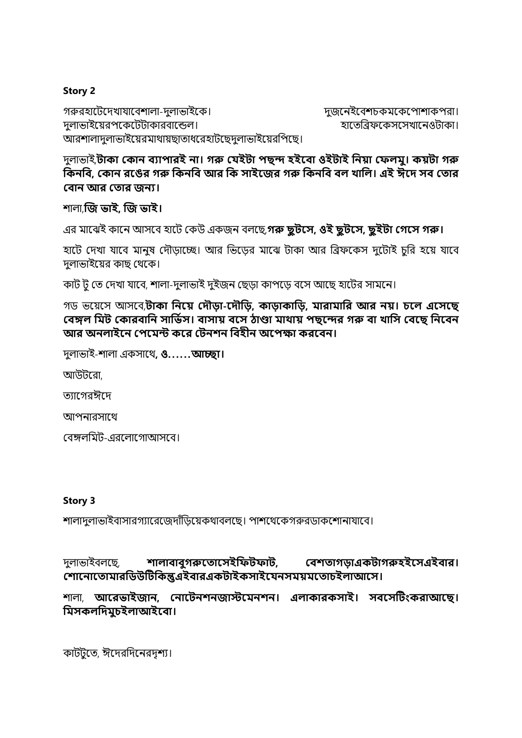# **Story 2**

গরুরহাটেদেখাযাবেশালা-দুলাভাইকে। দুর্ভিটি দুজনেইবেশচকমকেপোশাকপরা। দুলাভাইয়েরপকেটেটাকারবান্ডেল। হাটি স্থানিটিসটো হাতেরিফকেসসেখানেওটাকা। আরশালাদুলাভাইয়েরমাথায়ছাতাধরেহাটছেদুলাভাইয়েরপিছে।

দুলাভাই,**টাকা ককান ব্যাপারই না। গরু কেইটা পছন্দ হইবব্া ওইটাই ননয়া কেলমু। কয়টা গরু**  কিনবি, কোন রঙের গরু কিনবি আর কি সাইজের গরু কিনবি বল খালি। এই ঈদে সব তোর **বোন আর তোর জন্য।** 

শালা,**জে ভাই, জে ভাই।**

এর মায়েই কায়ে আেয়ে হায়ে ককউ একজে েলয়ে,**গরু ছুটবস, ওই ছুটবস, ছুইটা কগবস গরু।**

হাটে দেখা যাবে মানুষ দৌড়াচ্ছে। আর ভিড়ের মাঝে টাকা আর ব্রিফকেস দুটোই চুরি হয়ে যাবে দলাভাইয়ের কাছ থেকে।

কাট ট তে দেখা যাবে, শালা-দুলাভাই দুইজন ছেডা কাপডে বসে আছে হাটের সামনে।

গড ভয়েয়ে আেয়ে,**টাকা ননবয় কেৌড়া-বেৌনড়, কাড়াকানড়, মারামানর আর নয়। চবল এবসবছ কব্ঙ্গল নমট ককারব্ানন সানভিস। ব্াসায় ব্বস ঠাণ্ডা মাথায় পছবন্দর গরু ব্া খানস কব্বছ ননবব্ন আর অনলাইবন কপবমন্ট কবর কটনশন নব্হীন অবপক্ষা করবব্ন।**

দুলাভাই-শালা একোয়ে**, ও. . .. ..আচ্ছা।** 

আউেটরা,

ত্যাগেৱঈদে

আপনারসাথে

বেঙ্গলমিট-এরলোগোআসবে।

### **Story 3**

শালাদুলাভাইবাসারগ্যারেজেদাঁড়িয়েকথাবলছে। পাশথেকেগরুরডাকশোনাযাবে।

দুলাভাইবলছে, শা**লাবাবুগরুতোসেইফিটফাট, বেশতাগড়াএকটাগরুহইসেএইবার। বোতনাত ামারকেউটটককন্তুএইিারএকটাইকসাইতযনসমেমত াচইলাআতস।**

শালা, **আতরভাইজান, বনাতটনেনজাস্টতমনেন। এলাকারকসাই। সিতসটটিংকরাআতছ। কমসকলকদমুচইলাআইতিা।**

কাটটুতে, ঈদেরদিনেরদৃশ্য।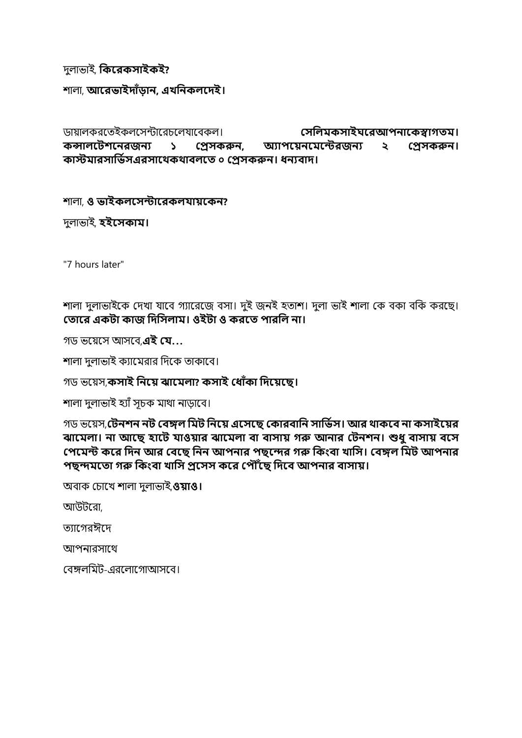# দুলাভাই, **ককতরকসাইকই?**

শালা, **আতরভাইদাাঁড়ান, এখকনকলতদই।**

ডায়ালকরতেইকলসেন্টারেচলেযাবেকল। ব্যাপক**ল সাইঘরেআপনাকেস্বাগতম। কন্সালতটেতনরজনয ১ বেসকরুন, অ্যাপতেনতমতন্টরজনয ২ বেসকরুন। কাস্টমারসাকভিসএরসাতেকোিলত ০ বেসকরুন। ধনযিাদ।**

# শালা, **ও ভাইকলতসন্টাতরকলযােতকন?**

দুলাভাই, **হইতসকাম।**

"7 hours later"

শালা দুলাভাইকে দেখা যাবে গ্যারেজে বসা। দুই জনই হতাশ। দুলা ভাই শালা কে বকা বকি করছে। **ক াবর একটা কাে নেনসলাম। ওইটা ও করব পারনল না।**

গড ভয়েয়ে আেয়ে,**এই কে. ..**

শালা দুলাভাই ক্যামেরার দিকে তাকাবে।

গড ভয়েে,**কসাই ননবয় ঝাবমলা? কসাই ক াোঁকা নেবয়বছ।**

শালা দুলাভাই হ্যাঁ সূচক মাথা নাড়াবে।

গড ভয়েে,**কটনশন নট কব্ঙ্গল নমট ননবয় এবসবছ ককারব্ানন সানভিস। আর থাকবব্ না কসাইবয়র**  ঝামেলা। না আছে হাটে যাওয়ার ঝামেলা বা বাসায় গরু আনার টেনশন। শুধু বাসায় বসে **কপবমন্ট কবর নেন আর কব্বছ ননন আপনার পছবন্দর গরু নকিংব্া খানস। কব্ঙ্গল নমট আপনার পছন্দমব া গরু নকিংব্া খানস প্রবসস কবর কপৌৌঁবছ নেবব্ আপনার ব্াসায়।**

অোক কচায়খ শালা দুলাভাই,**ওয়াও।** 

আউেটরা,

ত্যাগেরঈদে

আপনারসাথে

বেঙ্গলমিট-এরলোগােআসবে।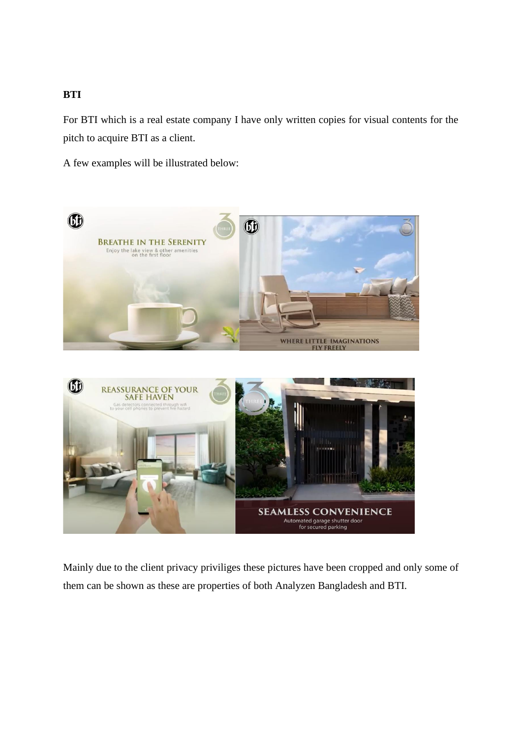# **BTI**

For BTI which is a real estate company I have only written copies for visual contents for the pitch to acquire BTI as a client.

A few examples will be illustrated below:





Mainly due to the client privacy priviliges these pictures have been cropped and only some of them can be shown as these are properties of both Analyzen Bangladesh and BTI.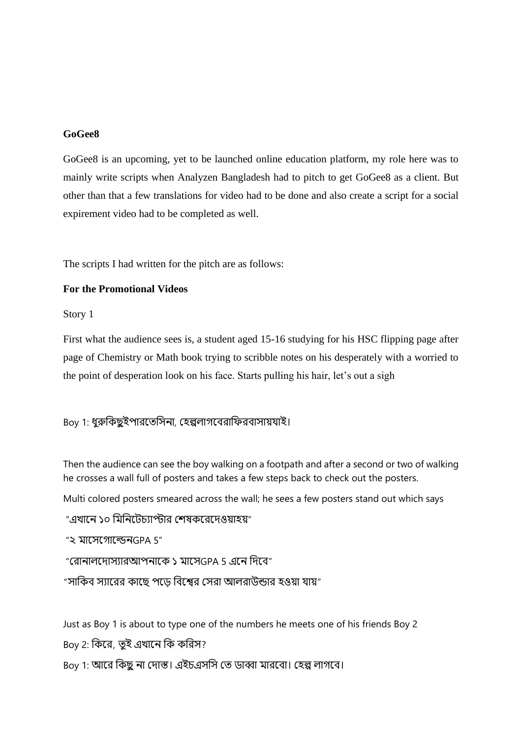### **GoGee8**

GoGee8 is an upcoming, yet to be launched online education platform, my role here was to mainly write scripts when Analyzen Bangladesh had to pitch to get GoGee8 as a client. But other than that a few translations for video had to be done and also create a script for a social expirement video had to be completed as well.

The scripts I had written for the pitch are as follows:

### **For the Promotional Videos**

Story 1

First what the audience sees is, a student aged 15-16 studying for his HSC flipping page after page of Chemistry or Math book trying to scribble notes on his desperately with a worried to the point of desperation look on his face. Starts pulling his hair, let's out a sigh

Boy 1: ধুরুকিছুইপারতেসিনা, হেল্পলাগবেরাফিরবাসায়যাই।

Then the audience can see the boy walking on a footpath and after a second or two of walking he crosses a wall full of posters and takes a few steps back to check out the posters.

Multi colored posters smeared across the wall; he sees a few posters stand out which says

"এখানে ১০ মিনিটেচ্যাপ্টার শেষকরেদেওয়াহয়"

"২ মাসেগােল্ডেন $GPA 5$ "

"রোনালদোস্যারআপনাকে ১ মাসেGPA 5 এনে দিবে"

"সাকিব স্যারের কাছে পড়ে বিশ্বের সেরা আলরাউন্ডার হওয়া যায়"

Just as Boy 1 is about to type one of the numbers he meets one of his friends Boy 2 Boy 2: কিরে, তুই এখানে কি করিস? Boy 1: আরে কিছু না দোস্ত। এইচএসসি তে ডাব্বা মারবো। হেল্প লাগবে।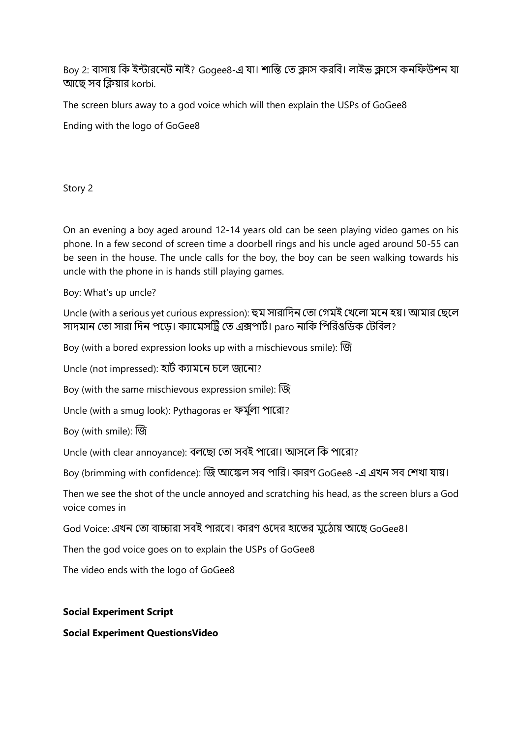Boy 2: বাসায় কি ইন্টারনেট নাই? Gogee8-এ যা। শান্তি তে ক্লাস করবি। লাইভ ক্লাসে কনফিউশন যা আছে সব ক্লিয়ার korbi.

The screen blurs away to a god voice which will then explain the USPs of GoGee8

Ending with the logo of GoGee8

Story 2

On an evening a boy aged around 12-14 years old can be seen playing video games on his phone. In a few second of screen time a doorbell rings and his uncle aged around 50-55 can be seen in the house. The uncle calls for the boy, the boy can be seen walking towards his uncle with the phone in is hands still playing games.

Boy: What's up uncle?

Uncle (with a serious yet curious expression): হুম সারাদিন তো গেমই খেলো মনে হয়। আমার ছেলে সাদমান তো সারা দিন পড়ে। ক্যামেসট্রি তে এক্সপার্ট। paro নাকি পিরিওডিক টেবিল?

Boy (with a bored expression looks up with a mischievous smile): জজ

Uncle (not impressed): হােট কযাময়ে চয়ল জায়ো?

Boy (with the same mischievous expression smile): জজ

Uncle (with a smug look): Pythagoras er ফর্মুলা পারো?

Boy (with smile): জজ

Uncle (with clear annoyance): বলছো তো সবই পারো। আসলে কি পারো?

Boy (brimming with confidence): জি আঙ্কেল সব পারি। কারণ GoGee8 -এ এখন সব শেখা যায়।

Then we see the shot of the uncle annoyed and scratching his head, as the screen blurs a God voice comes in

God Voice: এখন তো বাচ্চারা সবই পারবে। কারণ ওদের হাতের মুঠোয় আছে GoGee8।

Then the god voice goes on to explain the USPs of GoGee8

The video ends with the logo of GoGee8

# **Social Experiment Script**

**Social Experiment QuestionsVideo**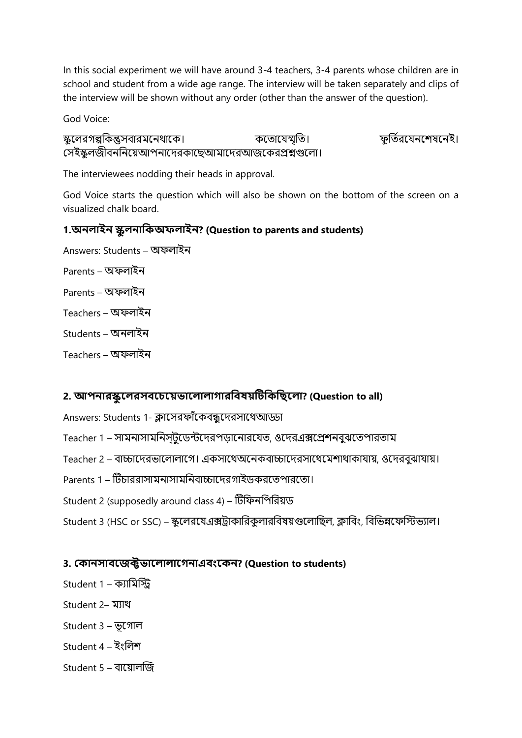In this social experiment we will have around 3-4 teachers, 3-4 parents whose children are in school and student from a wide age range. The interview will be taken separately and clips of the interview will be shown without any order (other than the answer of the question).

God Voice:

স্কুলেরগল্পকিন্তুসবারমনেথাকে। ব্যক্তি কতোযেস্মৃতি। ক্যান্ত ফুর্তিরযেনশেষনেই। সেইস্কুলজীবননিয়েআপনাদেরকাছেআমাদেরআজকেরপ্রশ্নগুলাে।

The interviewees nodding their heads in approval.

God Voice starts the question which will also be shown on the bottom of the screen on a visualized chalk board.

# **1.অ্নলাইন স্কুলনাককঅ্েলাইন? (Question to parents and students)**

Answers: Students – অফলাইন Parents – অফলাইন Parents – অফলাইন Teachers – অফলাইন Students – অনলাইন Teachers – অফলাইন

# **2. আপনারস্কুতলরসিতচতেভাতলালাগারকিষেটটকককছতলা? (Question to all)**

Answers: Students 1- ক্লাসেরফাঁকেবন্ধুদেরসাথেআড্ডা

- Teacher 1 সামনাসামনিস্টডেন্টদেরপডানোরযেত, ওদেরএক্সপ্রেশনবুঝতেপারতাম
- Teacher 2 বাচ্চাদেরভালোলাগে। একসাথেঅনেকবাচ্চাদেরসাথেমেশাথাকাযায়, ওদেরবুঝাযায়।
- Parents 1 টিচাররাসামনাসামনিবাচ্চাদেরগাইডকরতেপারতো।
- Student 2 (supposedly around class 4) টিফিনপিরিয়ড

Student 3 (HSC or SSC) – স্কুলেরযেএক্সট্রাকারিকুলারবিষয়গুলোছিল, ক্লাবিং, বিভিন্নফেস্টিভ্যাল।

# **3. বকানসািতজক্টভাতলালাতগনাএিিংতকন? (Question to students)**

- Student 1 ক্যামিস্টি
- Student 2– মোে
- Student 3 ভূয়গাল
- Student 4 ইংভলশ
- Student 5 োয়োলজজ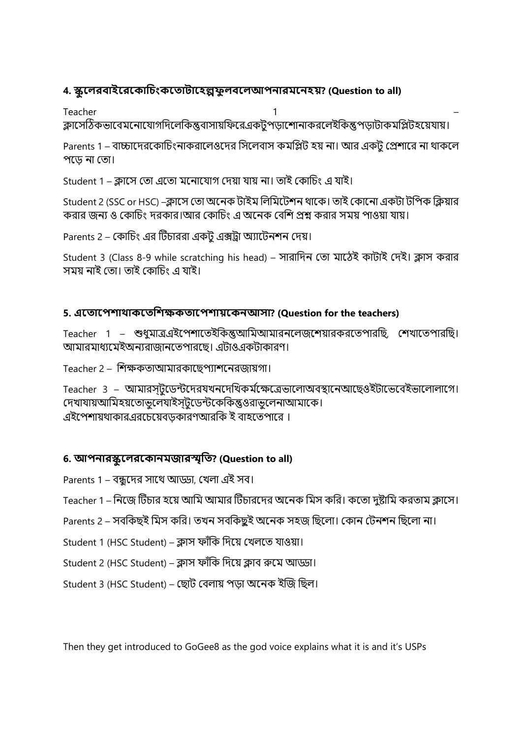# **4. স্কুতলরিাইতরতকাকচিংকত াটাতহল্পেুলিতলআপনারমতনহে? (Question to all)**

Teacher 1 – ক্লাসেঠিকভাবেমনোযোগদিলেকিন্তুবাসায়ফিরেএকটপডাশোনাকরলেইকিন্তুপডাটাকমপ্লিটহয়েযায়।

Parents 1 – বাচ্চাদেরকোচিংনাকরালেওদের সিলেবাস কমপ্লিট হয় না। আর একট প্রেশারে না থাকলে পদেে না তো।

Student 1 – ক্লাসে তো এতো মনোযোগ দেয়া যায় না। তাই কোচিং এ যাই।

Student 2 (SSC or HSC) –ক্লাসে তো অনেক টাইম লিমিটেশন থাকে। তাই কোনো একটা টপিক ক্লিয়ার করার জন্য ও কোচিং দরকার।আর কোচিং এ অনেক বেশি প্রশ্ন করার সময় পাওয়া যায়।

Parents 2 – কোচিং এর টিচাররা একট এক্সট্রা অ্যাটেনশন দেয়।

Student 3 (Class 8-9 while scratching his head) – সারাদিন তো মাঠেই কাটাই দেই। ক্লাস করার সময় নাই তো। তাই কোচিং এ যাই।

# **5. এত াতপোোকত কেক্ষক াতপোেতকনআসা? (Question for the teachers)**

Teacher 1 – শুধুমাত্রএইপেশাতেইকিন্তুআমিআমারনলেজশোয়ারকরতেপারছি, শেখাতেপারছি। আমারমাধ্যমেইঅন্যরাজানতেপারছে। এটাওএকটাকারণ।

Teacher 2 – শিক্ষকতাআমারকাছেপ্যাশনেরজায়গা।

Teacher 3 – আমারস্টুডেন্টদেরযখনদেখিকর্মক্ষেত্রেভালোঅবস্থানেআছেওইটাভেবেইভালোলাগে। দেখাযায়আমিহয়তোভুলেযাইস্টুডেন্টকেকিন্তুওরাভুলেনাআমাকে। এইপেশায়থাকারএরচেয়েবডকারণআরকি ই বাহতেপারে।

# **6. আপনারস্কুতলরতকানমজারস্মৃক ? (Question to all)**

- Parents 1 বন্ধদের সাথে আড্ডা, খেলা এই সব।
- Teacher 1 নিজে টিচার হয়ে আমি আমার টিচারদের অনেক মিস করি। কতো দুষ্টামি করতাম ক্লাসে।
- Parents 2 সবকিছই মিস করি। তখন সবকিছুই অনেক সহজ ছিলো। কোন টেনশন ছিলো না।
- Student 1 (HSC Student) ক্লাস ফাঁকি দিয়ে খেলতে যাওয়া।
- Student 2 (HSC Student) ক্লাস ফাঁকি দিয়ে ক্লাব রুমে আড়্য়।
- Student 3 (HSC Student) ছোট বেলায় পড়া অনেক ইজি ছিল।

Then they get introduced to GoGee8 as the god voice explains what it is and it's USPs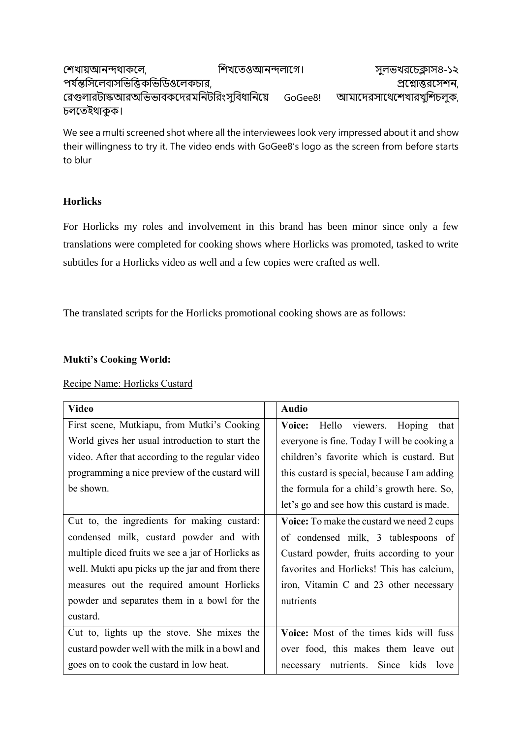| শেখায়আনন্দথাকলে,                          | শিখতেওআনন্দলাগে। |         | সুলভখরচেক্লাস৪-১২        |
|--------------------------------------------|------------------|---------|--------------------------|
| পর্যন্তসিলেবাসভিত্তিকভিডিওলেকচার,          |                  |         | প্রশ্মোত্তরসেশন,         |
| রেগুলারটাস্কআরঅভিভাবকদেরমনিটরিংসুবিধানিয়ে |                  | GoGee8! | আমাদেরসাথেশেখারখুশিচলুক, |
| চলতেইথাকুক।                                |                  |         |                          |

We see a multi screened shot where all the interviewees look very impressed about it and show their willingness to try it. The video ends with GoGee8's logo as the screen from before starts to blur

# **Horlicks**

For Horlicks my roles and involvement in this brand has been minor since only a few translations were completed for cooking shows where Horlicks was promoted, tasked to write subtitles for a Horlicks video as well and a few copies were crafted as well.

The translated scripts for the Horlicks promotional cooking shows are as follows:

# **Mukti's Cooking World:**

# Recipe Name: Horlicks Custard

| <b>Video</b>                                      | <b>Audio</b>                                 |
|---------------------------------------------------|----------------------------------------------|
| First scene, Mutkiapu, from Mutki's Cooking       | Hello viewers. Hoping<br>Voice:<br>that      |
| World gives her usual introduction to start the   | everyone is fine. Today I will be cooking a  |
| video. After that according to the regular video  | children's favorite which is custard. But    |
| programming a nice preview of the custard will    | this custard is special, because I am adding |
| be shown.                                         | the formula for a child's growth here. So,   |
|                                                   | let's go and see how this custard is made.   |
| Cut to, the ingredients for making custard:       | Voice: To make the custard we need 2 cups    |
| condensed milk, custard powder and with           | of condensed milk, 3 tablespoons of          |
| multiple diced fruits we see a jar of Horlicks as | Custard powder, fruits according to your     |
| well. Mukti apu picks up the jar and from there   | favorites and Horlicks! This has calcium,    |
| measures out the required amount Horlicks         | iron, Vitamin C and 23 other necessary       |
| powder and separates them in a bowl for the       | nutrients                                    |
| custard.                                          |                                              |
| Cut to, lights up the stove. She mixes the        | Voice: Most of the times kids will fuss      |
| custard powder well with the milk in a bowl and   | over food, this makes them leave out         |
| goes on to cook the custard in low heat.          | necessary nutrients. Since kids love         |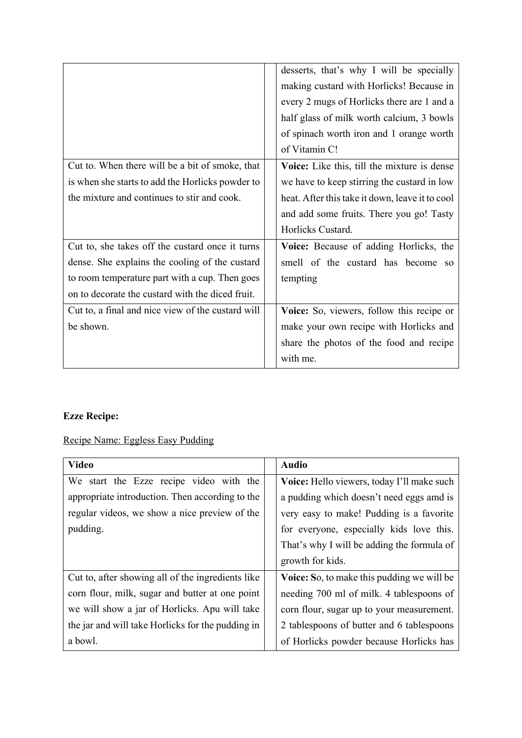|                                                                                                                                                                                                         | desserts, that's why I will be specially<br>making custard with Horlicks! Because in<br>every 2 mugs of Horlicks there are 1 and a<br>half glass of milk worth calcium, 3 bowls<br>of spinach worth iron and 1 orange worth<br>of Vitamin C! |
|---------------------------------------------------------------------------------------------------------------------------------------------------------------------------------------------------------|----------------------------------------------------------------------------------------------------------------------------------------------------------------------------------------------------------------------------------------------|
| Cut to. When there will be a bit of smoke, that<br>is when she starts to add the Horlicks powder to<br>the mixture and continues to stir and cook.                                                      | Voice: Like this, till the mixture is dense<br>we have to keep stirring the custard in low<br>heat. After this take it down, leave it to cool<br>and add some fruits. There you go! Tasty<br>Horlicks Custard.                               |
| Cut to, she takes off the custard once it turns<br>dense. She explains the cooling of the custard<br>to room temperature part with a cup. Then goes<br>on to decorate the custard with the diced fruit. | Voice: Because of adding Horlicks, the<br>smell of the custard has become<br>SO <sub>2</sub><br>tempting                                                                                                                                     |
| Cut to, a final and nice view of the custard will<br>be shown.                                                                                                                                          | Voice: So, viewers, follow this recipe or<br>make your own recipe with Horlicks and<br>share the photos of the food and recipe<br>with me.                                                                                                   |

# **Ezze Recipe:**

# Recipe Name: Eggless Easy Pudding

| <b>Video</b>                                      | <b>Audio</b>                                      |
|---------------------------------------------------|---------------------------------------------------|
| We start the Ezze recipe video with the           | Voice: Hello viewers, today I'll make such        |
| appropriate introduction. Then according to the   | a pudding which doesn't need eggs amd is          |
| regular videos, we show a nice preview of the     | very easy to make! Pudding is a favorite          |
| pudding.                                          | for everyone, especially kids love this.          |
|                                                   | That's why I will be adding the formula of        |
|                                                   | growth for kids.                                  |
| Cut to, after showing all of the ingredients like | <b>Voice:</b> So, to make this pudding we will be |
| corn flour, milk, sugar and butter at one point   | needing 700 ml of milk. 4 tablespoons of          |
| we will show a jar of Horlicks. Apu will take     | corn flour, sugar up to your measurement.         |
| the jar and will take Horlicks for the pudding in | 2 tablespoons of butter and 6 tablespoons         |
| a bowl.                                           | of Horlicks powder because Horlicks has           |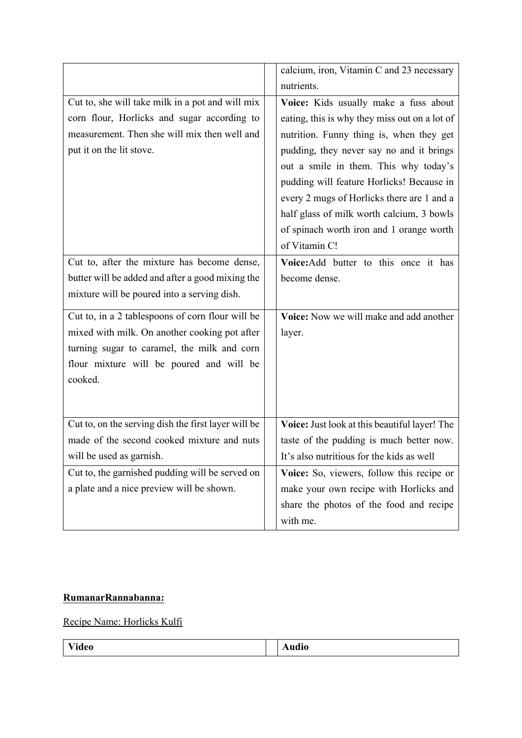|                                                     | calcium, iron, Vitamin C and 23 necessary     |
|-----------------------------------------------------|-----------------------------------------------|
|                                                     | nutrients.                                    |
| Cut to, she will take milk in a pot and will mix    | Voice: Kids usually make a fuss about         |
| corn flour, Horlicks and sugar according to         | eating, this is why they miss out on a lot of |
| measurement. Then she will mix then well and        | nutrition. Funny thing is, when they get      |
| put it on the lit stove.                            | pudding, they never say no and it brings      |
|                                                     | out a smile in them. This why today's         |
|                                                     | pudding will feature Horlicks! Because in     |
|                                                     | every 2 mugs of Horlicks there are 1 and a    |
|                                                     | half glass of milk worth calcium, 3 bowls     |
|                                                     | of spinach worth iron and 1 orange worth      |
|                                                     | of Vitamin C!                                 |
| Cut to, after the mixture has become dense,         | Voice: Add butter to this once it has         |
| butter will be added and after a good mixing the    | become dense.                                 |
| mixture will be poured into a serving dish.         |                                               |
| Cut to, in a 2 tablespoons of corn flour will be    | Voice: Now we will make and add another       |
| mixed with milk. On another cooking pot after       | layer.                                        |
| turning sugar to caramel, the milk and corn         |                                               |
| flour mixture will be poured and will be            |                                               |
| cooked.                                             |                                               |
|                                                     |                                               |
|                                                     |                                               |
| Cut to, on the serving dish the first layer will be | Voice: Just look at this beautiful layer! The |
| made of the second cooked mixture and nuts          | taste of the pudding is much better now.      |
| will be used as garnish.                            | It's also nutritious for the kids as well     |
| Cut to, the garnished pudding will be served on     | Voice: So, viewers, follow this recipe or     |
| a plate and a nice preview will be shown.           | make your own recipe with Horlicks and        |
|                                                     | share the photos of the food and recipe       |
|                                                     | with me.                                      |

# **RumanarRannabanna:**

Recipe Name: Horlicks Kulfi

| <b>Video</b> | $\sim$<br>Audio |
|--------------|-----------------|
|              |                 |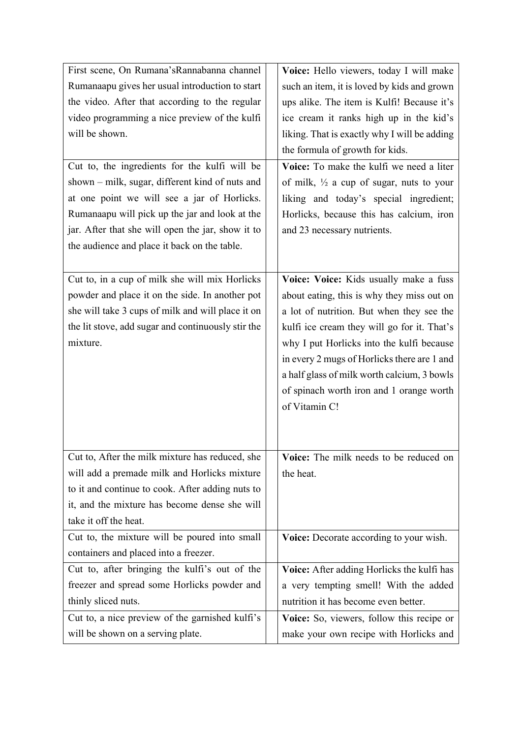| First scene, On Rumana's Rannabanna channel        | Voice: Hello viewers, today I will make             |
|----------------------------------------------------|-----------------------------------------------------|
| Rumanaapu gives her usual introduction to start    | such an item, it is loved by kids and grown         |
| the video. After that according to the regular     | ups alike. The item is Kulfi! Because it's          |
| video programming a nice preview of the kulfi      | ice cream it ranks high up in the kid's             |
| will be shown.                                     | liking. That is exactly why I will be adding        |
|                                                    | the formula of growth for kids.                     |
| Cut to, the ingredients for the kulfi will be      | Voice: To make the kulfi we need a liter            |
| shown – milk, sugar, different kind of nuts and    | of milk, $\frac{1}{2}$ a cup of sugar, nuts to your |
| at one point we will see a jar of Horlicks.        | liking and today's special ingredient;              |
| Rumanaapu will pick up the jar and look at the     | Horlicks, because this has calcium, iron            |
| jar. After that she will open the jar, show it to  | and 23 necessary nutrients.                         |
| the audience and place it back on the table.       |                                                     |
|                                                    |                                                     |
| Cut to, in a cup of milk she will mix Horlicks     | Voice: Voice: Kids usually make a fuss              |
| powder and place it on the side. In another pot    | about eating, this is why they miss out on          |
| she will take 3 cups of milk and will place it on  | a lot of nutrition. But when they see the           |
| the lit stove, add sugar and continuously stir the | kulfi ice cream they will go for it. That's         |
| mixture.                                           | why I put Horlicks into the kulfi because           |
|                                                    | in every 2 mugs of Horlicks there are 1 and         |
|                                                    | a half glass of milk worth calcium, 3 bowls         |
|                                                    | of spinach worth iron and 1 orange worth            |
|                                                    | of Vitamin C!                                       |
|                                                    |                                                     |
|                                                    |                                                     |
| Cut to, After the milk mixture has reduced, she    | Voice: The milk needs to be reduced on              |
| will add a premade milk and Horlicks mixture       | the heat.                                           |
| to it and continue to cook. After adding nuts to   |                                                     |
| it, and the mixture has become dense she will      |                                                     |
| take it off the heat.                              |                                                     |
| Cut to, the mixture will be poured into small      | Voice: Decorate according to your wish.             |
| containers and placed into a freezer.              |                                                     |
| Cut to, after bringing the kulfi's out of the      | Voice: After adding Horlicks the kulfi has          |
| freezer and spread some Horlicks powder and        | a very tempting smell! With the added               |
| thinly sliced nuts.                                | nutrition it has become even better.                |
| Cut to, a nice preview of the garnished kulfi's    | Voice: So, viewers, follow this recipe or           |
| will be shown on a serving plate.                  | make your own recipe with Horlicks and              |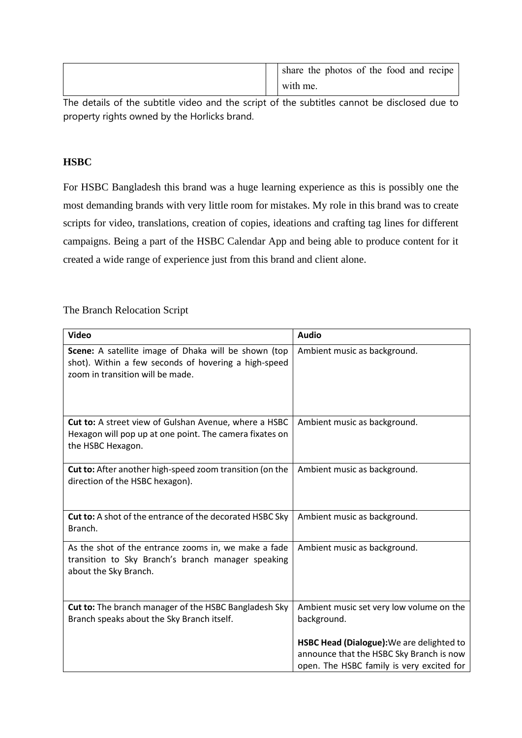|  | share the photos of the food and recipe |
|--|-----------------------------------------|
|  | with me.                                |

The details of the subtitle video and the script of the subtitles cannot be disclosed due to property rights owned by the Horlicks brand.

# **HSBC**

For HSBC Bangladesh this brand was a huge learning experience as this is possibly one the most demanding brands with very little room for mistakes. My role in this brand was to create scripts for video, translations, creation of copies, ideations and crafting tag lines for different campaigns. Being a part of the HSBC Calendar App and being able to produce content for it created a wide range of experience just from this brand and client alone.

The Branch Relocation Script

| <b>Video</b>                                                                                                                                     | <b>Audio</b>                                                                                                                       |
|--------------------------------------------------------------------------------------------------------------------------------------------------|------------------------------------------------------------------------------------------------------------------------------------|
| Scene: A satellite image of Dhaka will be shown (top<br>shot). Within a few seconds of hovering a high-speed<br>zoom in transition will be made. | Ambient music as background.                                                                                                       |
| Cut to: A street view of Gulshan Avenue, where a HSBC<br>Hexagon will pop up at one point. The camera fixates on<br>the HSBC Hexagon.            | Ambient music as background.                                                                                                       |
| Cut to: After another high-speed zoom transition (on the<br>direction of the HSBC hexagon).                                                      | Ambient music as background.                                                                                                       |
| <b>Cut to:</b> A shot of the entrance of the decorated HSBC Sky<br>Branch.                                                                       | Ambient music as background.                                                                                                       |
| As the shot of the entrance zooms in, we make a fade<br>transition to Sky Branch's branch manager speaking<br>about the Sky Branch.              | Ambient music as background.                                                                                                       |
| Cut to: The branch manager of the HSBC Bangladesh Sky<br>Branch speaks about the Sky Branch itself.                                              | Ambient music set very low volume on the<br>background.                                                                            |
|                                                                                                                                                  | HSBC Head (Dialogue): We are delighted to<br>announce that the HSBC Sky Branch is now<br>open. The HSBC family is very excited for |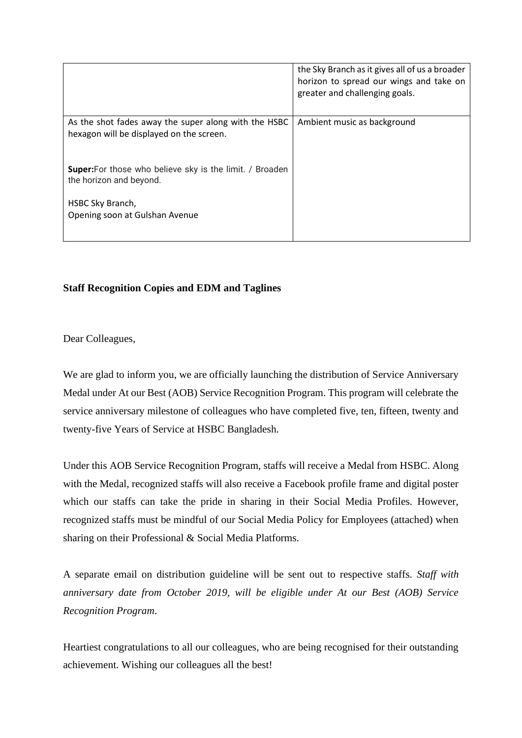|                                                                                                  | the Sky Branch as it gives all of us a broader<br>horizon to spread our wings and take on<br>greater and challenging goals. |
|--------------------------------------------------------------------------------------------------|-----------------------------------------------------------------------------------------------------------------------------|
| As the shot fades away the super along with the HSBC<br>hexagon will be displayed on the screen. | Ambient music as background                                                                                                 |
| <b>Super:</b> For those who believe sky is the limit. / Broaden<br>the horizon and beyond.       |                                                                                                                             |
| HSBC Sky Branch,<br>Opening soon at Gulshan Avenue                                               |                                                                                                                             |

# **Staff Recognition Copies and EDM and Taglines**

Dear Colleagues,

We are glad to inform you, we are officially launching the distribution of Service Anniversary Medal under At our Best (AOB) Service Recognition Program. This program will celebrate the service anniversary milestone of colleagues who have completed five, ten, fifteen, twenty and twenty-five Years of Service at HSBC Bangladesh.

Under this AOB Service Recognition Program, staffs will receive a Medal from HSBC. Along with the Medal, recognized staffs will also receive a Facebook profile frame and digital poster which our staffs can take the pride in sharing in their Social Media Profiles. However, recognized staffs must be mindful of our Social Media Policy for Employees (attached) when sharing on their Professional & Social Media Platforms.

A separate email on distribution guideline will be sent out to respective staffs. *Staff with anniversary date from October 2019, will be eligible under At our Best (AOB) Service Recognition Program*.

Heartiest congratulations to all our colleagues, who are being recognised for their outstanding achievement. Wishing our colleagues all the best!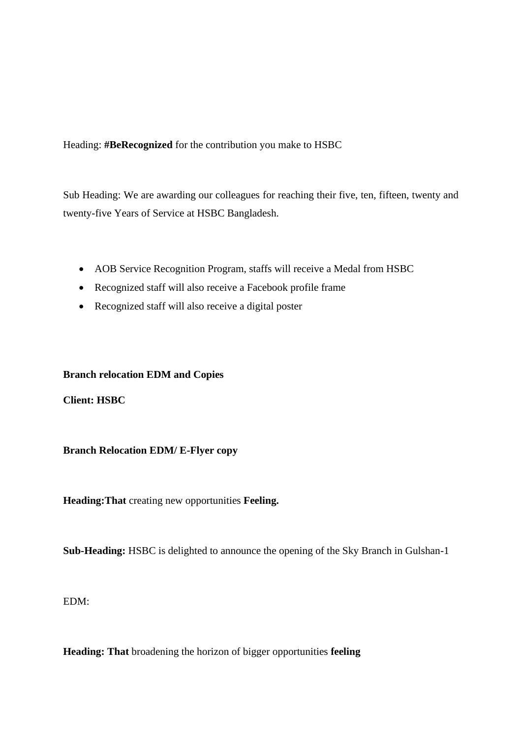Heading: **#BeRecognized** for the contribution you make to HSBC

Sub Heading: We are awarding our colleagues for reaching their five, ten, fifteen, twenty and twenty-five Years of Service at HSBC Bangladesh.

- AOB Service Recognition Program, staffs will receive a Medal from HSBC
- Recognized staff will also receive a Facebook profile frame
- Recognized staff will also receive a digital poster

### **Branch relocation EDM and Copies**

**Client: HSBC**

**Branch Relocation EDM/ E-Flyer copy**

**Heading:That** creating new opportunities **Feeling.**

**Sub-Heading:** HSBC is delighted to announce the opening of the Sky Branch in Gulshan-1

EDM:

**Heading: That** broadening the horizon of bigger opportunities **feeling**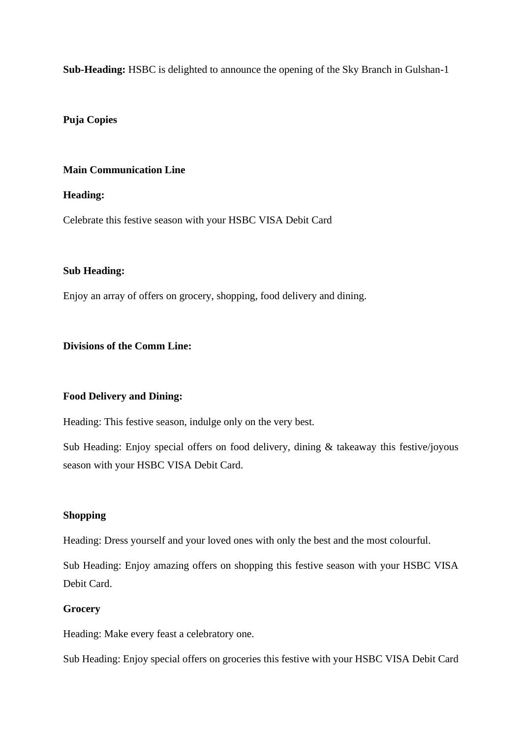**Sub-Heading:** HSBC is delighted to announce the opening of the Sky Branch in Gulshan-1

### **Puja Copies**

### **Main Communication Line**

### **Heading:**

Celebrate this festive season with your HSBC VISA Debit Card

### **Sub Heading:**

Enjoy an array of offers on grocery, shopping, food delivery and dining.

# **Divisions of the Comm Line:**

# **Food Delivery and Dining:**

Heading: This festive season, indulge only on the very best.

Sub Heading: Enjoy special offers on food delivery, dining & takeaway this festive/joyous season with your HSBC VISA Debit Card.

### **Shopping**

Heading: Dress yourself and your loved ones with only the best and the most colourful.

Sub Heading: Enjoy amazing offers on shopping this festive season with your HSBC VISA Debit Card.

# **Grocery**

Heading: Make every feast a celebratory one.

Sub Heading: Enjoy special offers on groceries this festive with your HSBC VISA Debit Card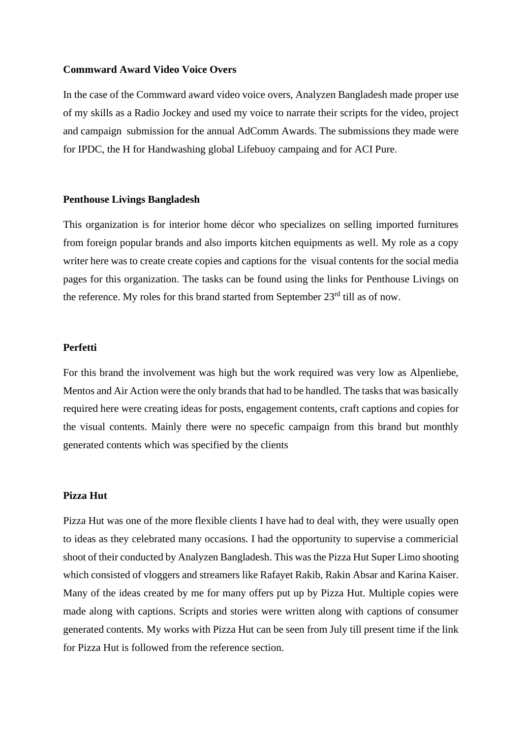#### **Commward Award Video Voice Overs**

In the case of the Commward award video voice overs, Analyzen Bangladesh made proper use of my skills as a Radio Jockey and used my voice to narrate their scripts for the video, project and campaign submission for the annual AdComm Awards. The submissions they made were for IPDC, the H for Handwashing global Lifebuoy campaing and for ACI Pure.

#### **Penthouse Livings Bangladesh**

This organization is for interior home décor who specializes on selling imported furnitures from foreign popular brands and also imports kitchen equipments as well. My role as a copy writer here was to create create copies and captions for the visual contents for the social media pages for this organization. The tasks can be found using the links for Penthouse Livings on the reference. My roles for this brand started from September  $23<sup>rd</sup>$  till as of now.

#### **Perfetti**

For this brand the involvement was high but the work required was very low as Alpenliebe, Mentos and Air Action were the only brands that had to be handled. The tasks that was basically required here were creating ideas for posts, engagement contents, craft captions and copies for the visual contents. Mainly there were no specefic campaign from this brand but monthly generated contents which was specified by the clients

### **Pizza Hut**

Pizza Hut was one of the more flexible clients I have had to deal with, they were usually open to ideas as they celebrated many occasions. I had the opportunity to supervise a commericial shoot of their conducted by Analyzen Bangladesh. This was the Pizza Hut Super Limo shooting which consisted of vloggers and streamers like Rafayet Rakib, Rakin Absar and Karina Kaiser. Many of the ideas created by me for many offers put up by Pizza Hut. Multiple copies were made along with captions. Scripts and stories were written along with captions of consumer generated contents. My works with Pizza Hut can be seen from July till present time if the link for Pizza Hut is followed from the reference section.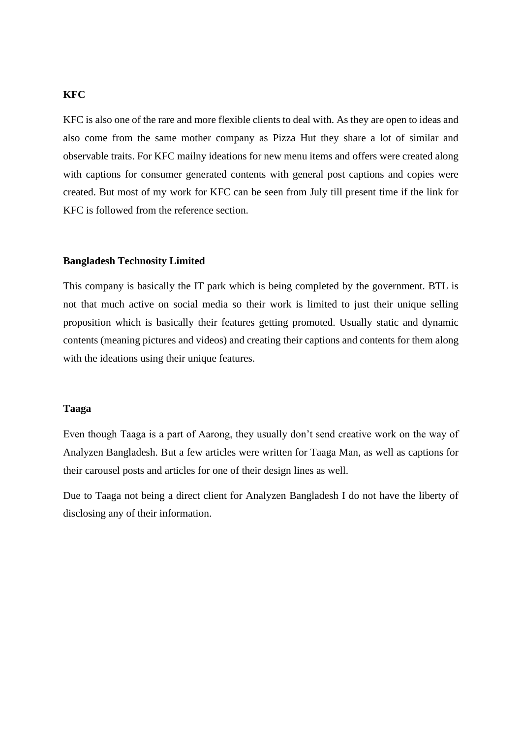### **KFC**

KFC is also one of the rare and more flexible clients to deal with. As they are open to ideas and also come from the same mother company as Pizza Hut they share a lot of similar and observable traits. For KFC mailny ideations for new menu items and offers were created along with captions for consumer generated contents with general post captions and copies were created. But most of my work for KFC can be seen from July till present time if the link for KFC is followed from the reference section.

#### **Bangladesh Technosity Limited**

This company is basically the IT park which is being completed by the government. BTL is not that much active on social media so their work is limited to just their unique selling proposition which is basically their features getting promoted. Usually static and dynamic contents (meaning pictures and videos) and creating their captions and contents for them along with the ideations using their unique features.

### **Taaga**

Even though Taaga is a part of Aarong, they usually don't send creative work on the way of Analyzen Bangladesh. But a few articles were written for Taaga Man, as well as captions for their carousel posts and articles for one of their design lines as well.

Due to Taaga not being a direct client for Analyzen Bangladesh I do not have the liberty of disclosing any of their information.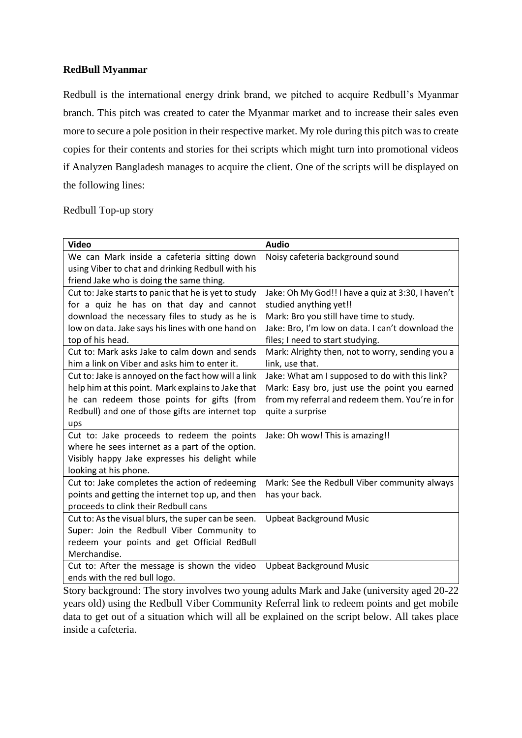### **RedBull Myanmar**

Redbull is the international energy drink brand, we pitched to acquire Redbull's Myanmar branch. This pitch was created to cater the Myanmar market and to increase their sales even more to secure a pole position in their respective market. My role during this pitch was to create copies for their contents and stories for thei scripts which might turn into promotional videos if Analyzen Bangladesh manages to acquire the client. One of the scripts will be displayed on the following lines:

### Redbull Top-up story

| <b>Video</b>                                         | <b>Audio</b>                                       |
|------------------------------------------------------|----------------------------------------------------|
| We can Mark inside a cafeteria sitting down          | Noisy cafeteria background sound                   |
| using Viber to chat and drinking Redbull with his    |                                                    |
| friend Jake who is doing the same thing.             |                                                    |
| Cut to: Jake starts to panic that he is yet to study | Jake: Oh My God!! I have a quiz at 3:30, I haven't |
| for a quiz he has on that day and cannot             | studied anything yet!!                             |
| download the necessary files to study as he is       | Mark: Bro you still have time to study.            |
| low on data. Jake says his lines with one hand on    | Jake: Bro, I'm low on data. I can't download the   |
| top of his head.                                     | files; I need to start studying.                   |
| Cut to: Mark asks Jake to calm down and sends        | Mark: Alrighty then, not to worry, sending you a   |
| him a link on Viber and asks him to enter it.        | link, use that.                                    |
| Cut to: Jake is annoyed on the fact how will a link  | Jake: What am I supposed to do with this link?     |
| help him at this point. Mark explains to Jake that   | Mark: Easy bro, just use the point you earned      |
| he can redeem those points for gifts (from           | from my referral and redeem them. You're in for    |
| Redbull) and one of those gifts are internet top     | quite a surprise                                   |
| ups                                                  |                                                    |
| Cut to: Jake proceeds to redeem the points           | Jake: Oh wow! This is amazing!!                    |
| where he sees internet as a part of the option.      |                                                    |
| Visibly happy Jake expresses his delight while       |                                                    |
| looking at his phone.                                |                                                    |
| Cut to: Jake completes the action of redeeming       | Mark: See the Redbull Viber community always       |
| points and getting the internet top up, and then     | has your back.                                     |
| proceeds to clink their Redbull cans                 |                                                    |
| Cut to: As the visual blurs, the super can be seen.  | <b>Upbeat Background Music</b>                     |
| Super: Join the Redbull Viber Community to           |                                                    |
| redeem your points and get Official RedBull          |                                                    |
| Merchandise.                                         |                                                    |
| Cut to: After the message is shown the video         | <b>Upbeat Background Music</b>                     |
| ends with the red bull logo.                         |                                                    |

Story background: The story involves two young adults Mark and Jake (university aged 20-22 years old) using the Redbull Viber Community Referral link to redeem points and get mobile data to get out of a situation which will all be explained on the script below. All takes place inside a cafeteria.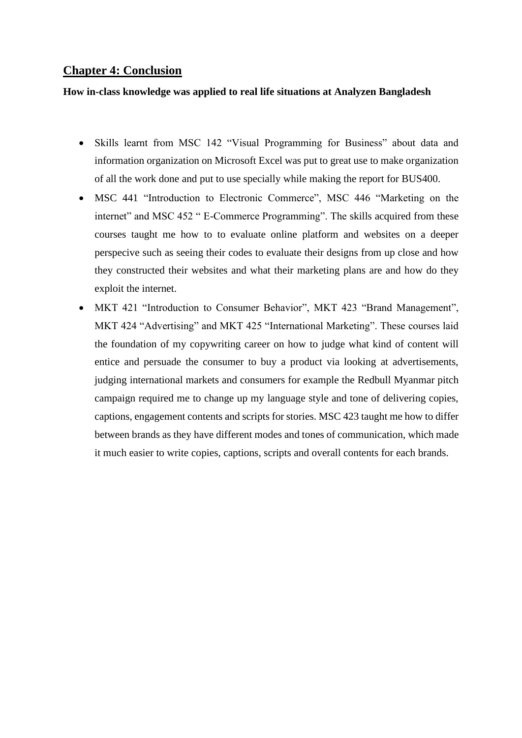# **Chapter 4: Conclusion**

### **How in-class knowledge was applied to real life situations at Analyzen Bangladesh**

- Skills learnt from MSC 142 "Visual Programming for Business" about data and information organization on Microsoft Excel was put to great use to make organization of all the work done and put to use specially while making the report for BUS400.
- MSC 441 "Introduction to Electronic Commerce", MSC 446 "Marketing on the internet" and MSC 452 " E-Commerce Programming". The skills acquired from these courses taught me how to to evaluate online platform and websites on a deeper perspecive such as seeing their codes to evaluate their designs from up close and how they constructed their websites and what their marketing plans are and how do they exploit the internet.
- MKT 421 "Introduction to Consumer Behavior", MKT 423 "Brand Management", MKT 424 "Advertising" and MKT 425 "International Marketing". These courses laid the foundation of my copywriting career on how to judge what kind of content will entice and persuade the consumer to buy a product via looking at advertisements, judging international markets and consumers for example the Redbull Myanmar pitch campaign required me to change up my language style and tone of delivering copies, captions, engagement contents and scripts for stories. MSC 423 taught me how to differ between brands as they have different modes and tones of communication, which made it much easier to write copies, captions, scripts and overall contents for each brands.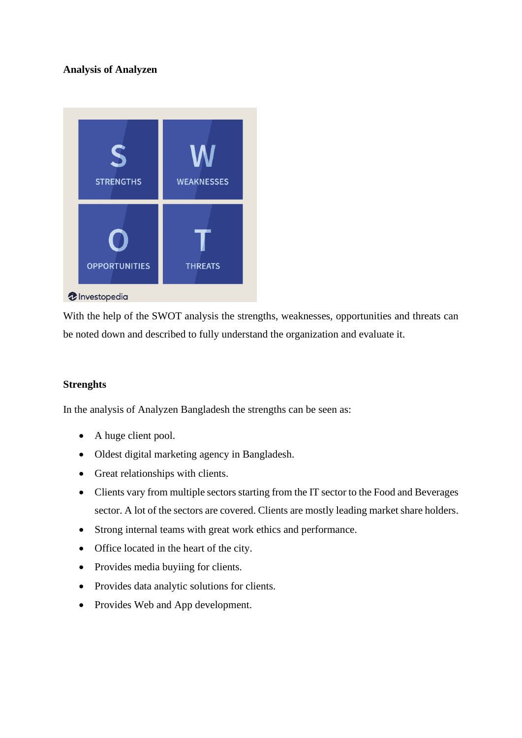# **Analysis of Analyzen**



With the help of the SWOT analysis the strengths, weaknesses, opportunities and threats can be noted down and described to fully understand the organization and evaluate it.

### **Strenghts**

In the analysis of Analyzen Bangladesh the strengths can be seen as:

- A huge client pool.
- Oldest digital marketing agency in Bangladesh.
- Great relationships with clients.
- Clients vary from multiple sectors starting from the IT sector to the Food and Beverages sector. A lot of the sectors are covered. Clients are mostly leading market share holders.
- Strong internal teams with great work ethics and performance.
- Office located in the heart of the city.
- Provides media buyiing for clients.
- Provides data analytic solutions for clients.
- Provides Web and App development.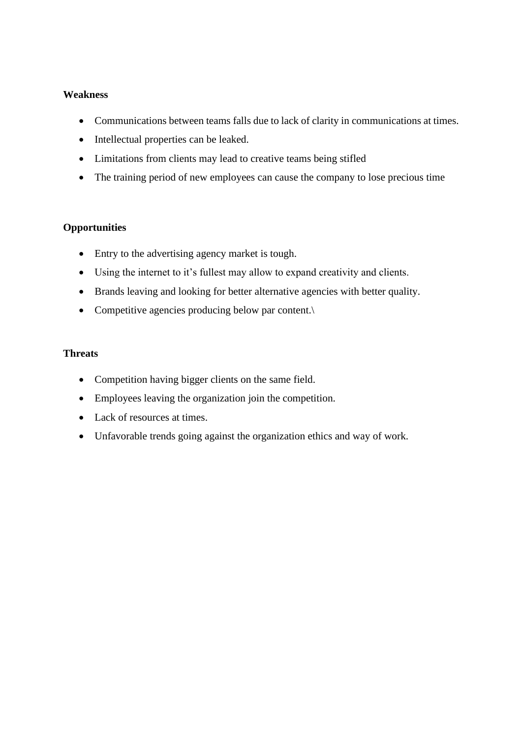### **Weakness**

- Communications between teams falls due to lack of clarity in communications at times.
- Intellectual properties can be leaked.
- Limitations from clients may lead to creative teams being stifled
- The training period of new employees can cause the company to lose precious time

# **Opportunities**

- Entry to the advertising agency market is tough.
- Using the internet to it's fullest may allow to expand creativity and clients.
- Brands leaving and looking for better alternative agencies with better quality.
- Competitive agencies producing below par content.\

### **Threats**

- Competition having bigger clients on the same field.
- Employees leaving the organization join the competition.
- Lack of resources at times.
- Unfavorable trends going against the organization ethics and way of work.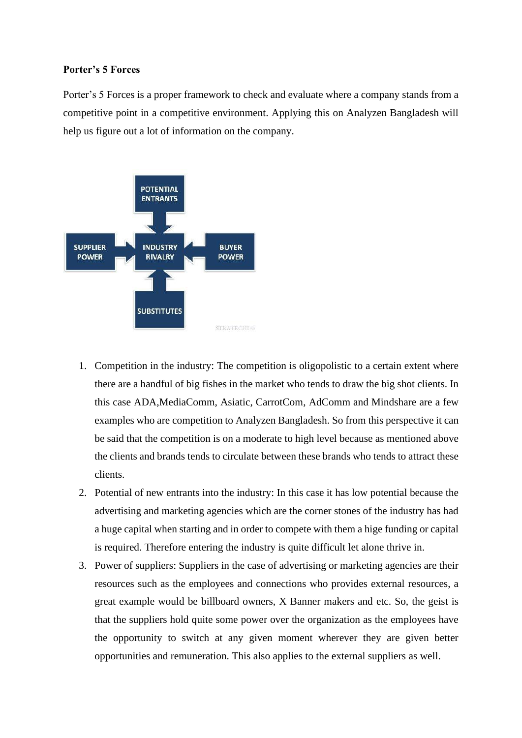### **Porter's 5 Forces**

Porter's 5 Forces is a proper framework to check and evaluate where a company stands from a competitive point in a competitive environment. Applying this on Analyzen Bangladesh will help us figure out a lot of information on the company.



- 1. Competition in the industry: The competition is oligopolistic to a certain extent where there are a handful of big fishes in the market who tends to draw the big shot clients. In this case ADA,MediaComm, Asiatic, CarrotCom, AdComm and Mindshare are a few examples who are competition to Analyzen Bangladesh. So from this perspective it can be said that the competition is on a moderate to high level because as mentioned above the clients and brands tends to circulate between these brands who tends to attract these clients.
- 2. Potential of new entrants into the industry: In this case it has low potential because the advertising and marketing agencies which are the corner stones of the industry has had a huge capital when starting and in order to compete with them a hige funding or capital is required. Therefore entering the industry is quite difficult let alone thrive in.
- 3. Power of suppliers: Suppliers in the case of advertising or marketing agencies are their resources such as the employees and connections who provides external resources, a great example would be billboard owners, X Banner makers and etc. So, the geist is that the suppliers hold quite some power over the organization as the employees have the opportunity to switch at any given moment wherever they are given better opportunities and remuneration. This also applies to the external suppliers as well.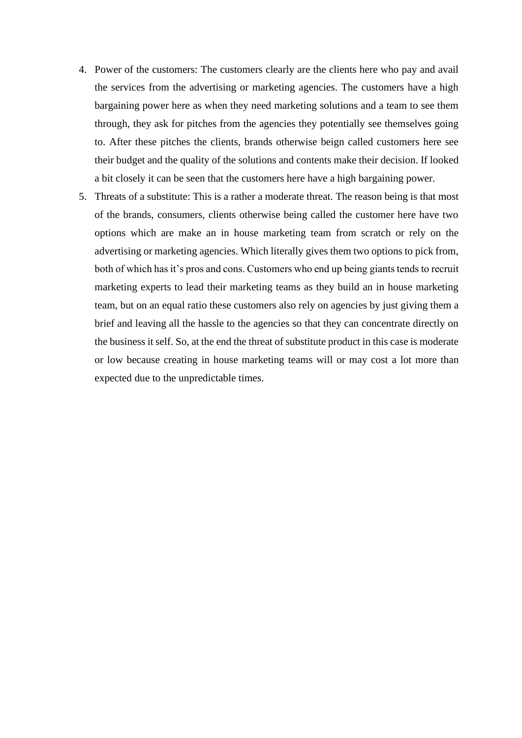- 4. Power of the customers: The customers clearly are the clients here who pay and avail the services from the advertising or marketing agencies. The customers have a high bargaining power here as when they need marketing solutions and a team to see them through, they ask for pitches from the agencies they potentially see themselves going to. After these pitches the clients, brands otherwise beign called customers here see their budget and the quality of the solutions and contents make their decision. If looked a bit closely it can be seen that the customers here have a high bargaining power.
- 5. Threats of a substitute: This is a rather a moderate threat. The reason being is that most of the brands, consumers, clients otherwise being called the customer here have two options which are make an in house marketing team from scratch or rely on the advertising or marketing agencies. Which literally gives them two options to pick from, both of which has it's pros and cons. Customers who end up being giants tends to recruit marketing experts to lead their marketing teams as they build an in house marketing team, but on an equal ratio these customers also rely on agencies by just giving them a brief and leaving all the hassle to the agencies so that they can concentrate directly on the business it self. So, at the end the threat of substitute product in this case is moderate or low because creating in house marketing teams will or may cost a lot more than expected due to the unpredictable times.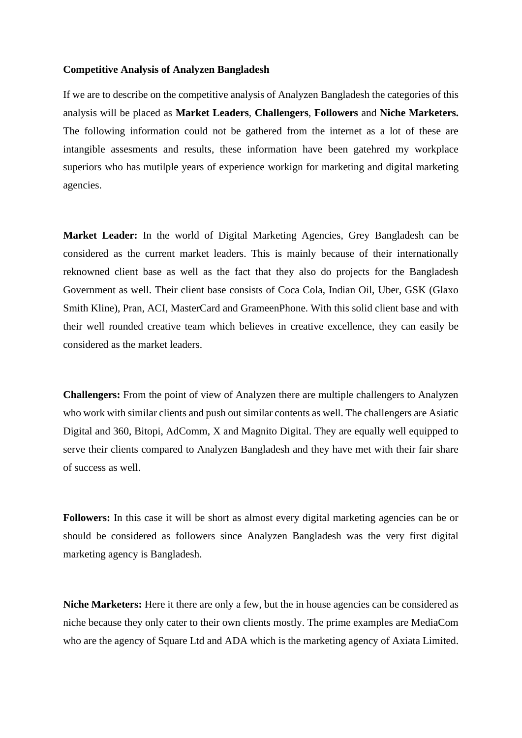#### **Competitive Analysis of Analyzen Bangladesh**

If we are to describe on the competitive analysis of Analyzen Bangladesh the categories of this analysis will be placed as **Market Leaders**, **Challengers**, **Followers** and **Niche Marketers.**  The following information could not be gathered from the internet as a lot of these are intangible assesments and results, these information have been gatehred my workplace superiors who has mutilple years of experience workign for marketing and digital marketing agencies.

**Market Leader:** In the world of Digital Marketing Agencies, Grey Bangladesh can be considered as the current market leaders. This is mainly because of their internationally reknowned client base as well as the fact that they also do projects for the Bangladesh Government as well. Their client base consists of Coca Cola, Indian Oil, Uber, GSK (Glaxo Smith Kline), Pran, ACI, MasterCard and GrameenPhone. With this solid client base and with their well rounded creative team which believes in creative excellence, they can easily be considered as the market leaders.

**Challengers:** From the point of view of Analyzen there are multiple challengers to Analyzen who work with similar clients and push out similar contents as well. The challengers are Asiatic Digital and 360, Bitopi, AdComm, X and Magnito Digital. They are equally well equipped to serve their clients compared to Analyzen Bangladesh and they have met with their fair share of success as well.

**Followers:** In this case it will be short as almost every digital marketing agencies can be or should be considered as followers since Analyzen Bangladesh was the very first digital marketing agency is Bangladesh.

**Niche Marketers:** Here it there are only a few, but the in house agencies can be considered as niche because they only cater to their own clients mostly. The prime examples are MediaCom who are the agency of Square Ltd and ADA which is the marketing agency of Axiata Limited.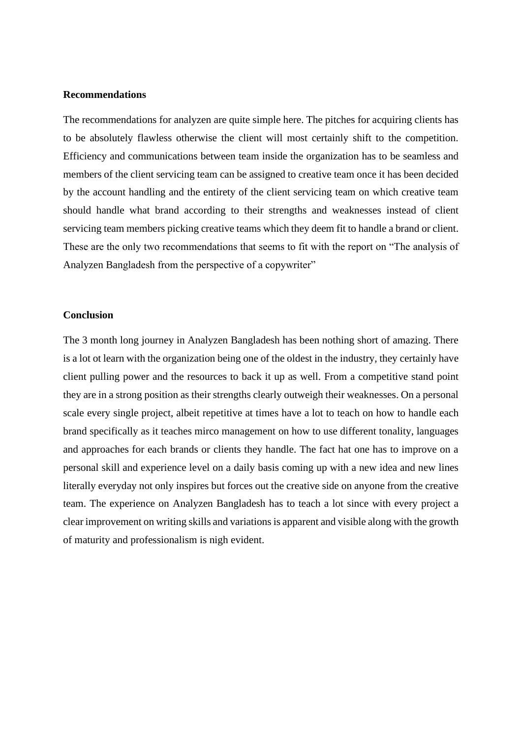### **Recommendations**

The recommendations for analyzen are quite simple here. The pitches for acquiring clients has to be absolutely flawless otherwise the client will most certainly shift to the competition. Efficiency and communications between team inside the organization has to be seamless and members of the client servicing team can be assigned to creative team once it has been decided by the account handling and the entirety of the client servicing team on which creative team should handle what brand according to their strengths and weaknesses instead of client servicing team members picking creative teams which they deem fit to handle a brand or client. These are the only two recommendations that seems to fit with the report on "The analysis of Analyzen Bangladesh from the perspective of a copywriter"

#### **Conclusion**

The 3 month long journey in Analyzen Bangladesh has been nothing short of amazing. There is a lot ot learn with the organization being one of the oldest in the industry, they certainly have client pulling power and the resources to back it up as well. From a competitive stand point they are in a strong position as their strengths clearly outweigh their weaknesses. On a personal scale every single project, albeit repetitive at times have a lot to teach on how to handle each brand specifically as it teaches mirco management on how to use different tonality, languages and approaches for each brands or clients they handle. The fact hat one has to improve on a personal skill and experience level on a daily basis coming up with a new idea and new lines literally everyday not only inspires but forces out the creative side on anyone from the creative team. The experience on Analyzen Bangladesh has to teach a lot since with every project a clear improvement on writing skills and variations is apparent and visible along with the growth of maturity and professionalism is nigh evident.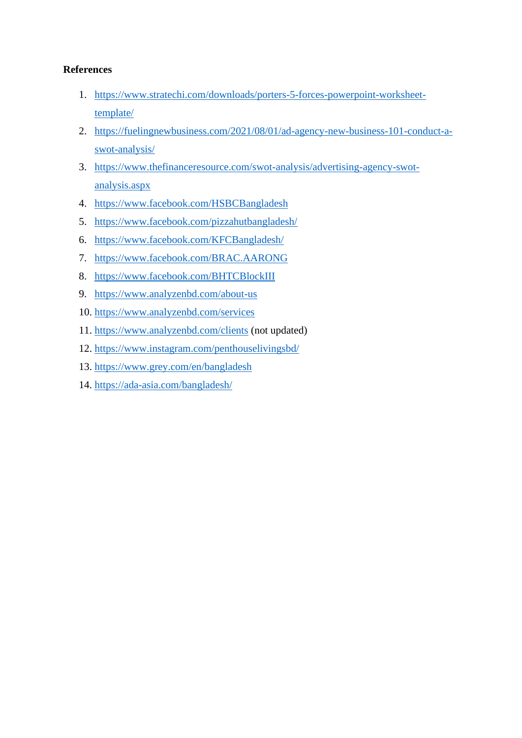# **References**

- 1. [https://www.stratechi.com/downloads/porters-5-forces-powerpoint-worksheet](https://www.stratechi.com/downloads/porters-5-forces-powerpoint-worksheet-template/)[template/](https://www.stratechi.com/downloads/porters-5-forces-powerpoint-worksheet-template/)
- 2. [https://fuelingnewbusiness.com/2021/08/01/ad-agency-new-business-101-conduct-a](https://fuelingnewbusiness.com/2021/08/01/ad-agency-new-business-101-conduct-a-swot-analysis/)[swot-analysis/](https://fuelingnewbusiness.com/2021/08/01/ad-agency-new-business-101-conduct-a-swot-analysis/)
- 3. [https://www.thefinanceresource.com/swot-analysis/advertising-agency-swot](https://www.thefinanceresource.com/swot-analysis/advertising-agency-swot-analysis.aspx)[analysis.aspx](https://www.thefinanceresource.com/swot-analysis/advertising-agency-swot-analysis.aspx)
- 4. <https://www.facebook.com/HSBCBangladesh>
- 5. <https://www.facebook.com/pizzahutbangladesh/>
- 6. <https://www.facebook.com/KFCBangladesh/>
- 7. <https://www.facebook.com/BRAC.AARONG>
- 8. <https://www.facebook.com/BHTCBlockIII>
- 9. <https://www.analyzenbd.com/about-us>
- 10. <https://www.analyzenbd.com/services>
- 11. <https://www.analyzenbd.com/clients> (not updated)
- 12. <https://www.instagram.com/penthouselivingsbd/>
- 13. <https://www.grey.com/en/bangladesh>
- 14. <https://ada-asia.com/bangladesh/>